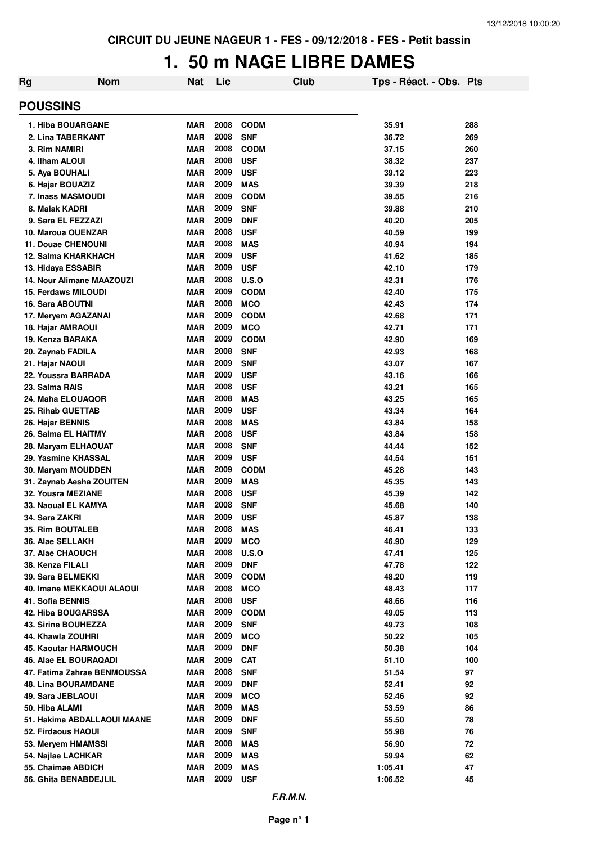## **1. 50 m NAGE LIBRE DAMES**

| Rg                               | <b>Nom</b> | Nat        | Lic  |              | <b>Club</b> | Tps - Réact. - Obs. Pts |     |
|----------------------------------|------------|------------|------|--------------|-------------|-------------------------|-----|
| <b>POUSSINS</b>                  |            |            |      |              |             |                         |     |
| 1. Hiba BOUARGANE                |            | MAR        | 2008 | <b>CODM</b>  |             | 35.91                   | 288 |
| 2. Lina TABERKANT                |            | <b>MAR</b> | 2008 | <b>SNF</b>   |             | 36.72                   | 269 |
| 3. Rim NAMIRI                    |            | <b>MAR</b> | 2008 | <b>CODM</b>  |             | 37.15                   | 260 |
| 4. Ilham ALOUI                   |            | <b>MAR</b> | 2008 | <b>USF</b>   |             | 38.32                   | 237 |
| 5. Aya BOUHALI                   |            | <b>MAR</b> | 2009 | <b>USF</b>   |             | 39.12                   | 223 |
| 6. Hajar BOUAZIZ                 |            | <b>MAR</b> | 2009 | <b>MAS</b>   |             | 39.39                   | 218 |
| 7. Inass MASMOUDI                |            | <b>MAR</b> | 2009 | <b>CODM</b>  |             | 39.55                   | 216 |
| 8. Malak KADRI                   |            | <b>MAR</b> | 2009 | <b>SNF</b>   |             | 39.88                   | 210 |
| 9. Sara EL FEZZAZI               |            | <b>MAR</b> | 2009 | <b>DNF</b>   |             | 40.20                   | 205 |
| 10. Maroua OUENZAR               |            | <b>MAR</b> | 2008 | <b>USF</b>   |             | 40.59                   | 199 |
| <b>11. Douae CHENOUNI</b>        |            | <b>MAR</b> | 2008 | <b>MAS</b>   |             | 40.94                   | 194 |
| 12. Salma KHARKHACH              |            | <b>MAR</b> | 2009 | <b>USF</b>   |             | 41.62                   | 185 |
| 13. Hidaya ESSABIR               |            | <b>MAR</b> | 2009 | <b>USF</b>   |             | 42.10                   | 179 |
| <b>14. Nour Alimane MAAZOUZI</b> |            | <b>MAR</b> | 2008 | <b>U.S.O</b> |             | 42.31                   | 176 |
| <b>15. Ferdaws MILOUDI</b>       |            | <b>MAR</b> | 2009 | <b>CODM</b>  |             | 42.40                   | 175 |
| <b>16. Sara ABOUTNI</b>          |            | <b>MAR</b> | 2008 | <b>MCO</b>   |             | 42.43                   | 174 |
| 17. Meryem AGAZANAI              |            | <b>MAR</b> | 2009 | <b>CODM</b>  |             | 42.68                   | 171 |
| 18. Hajar AMRAOUI                |            | <b>MAR</b> | 2009 | <b>MCO</b>   |             | 42.71                   | 171 |
| 19. Kenza BARAKA                 |            | <b>MAR</b> | 2009 | <b>CODM</b>  |             | 42.90                   | 169 |
| 20. Zaynab FADILA                |            | <b>MAR</b> | 2008 | <b>SNF</b>   |             | 42.93                   | 168 |
| 21. Hajar NAOUI                  |            | <b>MAR</b> | 2009 | <b>SNF</b>   |             | 43.07                   | 167 |
| 22. Youssra BARRADA              |            | <b>MAR</b> | 2009 | <b>USF</b>   |             | 43.16                   | 166 |
| 23. Salma RAIS                   |            | <b>MAR</b> | 2008 | <b>USF</b>   |             | 43.21                   | 165 |
| 24. Maha ELOUAQOR                |            | <b>MAR</b> | 2008 | <b>MAS</b>   |             | 43.25                   | 165 |
| 25. Rihab GUETTAB                |            | <b>MAR</b> | 2009 | <b>USF</b>   |             | 43.34                   | 164 |
| 26. Hajar BENNIS                 |            | <b>MAR</b> | 2008 | <b>MAS</b>   |             | 43.84                   | 158 |
| 26. Salma EL HAITMY              |            | <b>MAR</b> | 2008 | <b>USF</b>   |             | 43.84                   | 158 |
| 28. Maryam ELHAOUAT              |            | <b>MAR</b> | 2008 | <b>SNF</b>   |             | 44.44                   | 152 |
| 29. Yasmine KHASSAL              |            | <b>MAR</b> | 2009 | <b>USF</b>   |             | 44.54                   | 151 |
| 30. Maryam MOUDDEN               |            | <b>MAR</b> | 2009 | <b>CODM</b>  |             | 45.28                   | 143 |
| 31. Zaynab Aesha ZOUITEN         |            | <b>MAR</b> | 2009 | <b>MAS</b>   |             | 45.35                   | 143 |
| 32. Yousra MEZIANE               |            | <b>MAR</b> | 2008 | <b>USF</b>   |             | 45.39                   | 142 |
| 33. Naoual EL KAMYA              |            | <b>MAR</b> | 2008 | <b>SNF</b>   |             | 45.68                   | 140 |
| 34. Sara ZAKRI                   |            | <b>MAR</b> | 2009 | <b>USF</b>   |             | 45.87                   | 138 |
| 35. Rim BOUTALEB                 |            | <b>MAR</b> | 2008 | <b>MAS</b>   |             | 46.41                   | 133 |
| 36. Alae SELLAKH                 |            | <b>MAR</b> | 2009 | <b>MCO</b>   |             | 46.90                   | 129 |
| 37. Alae CHAOUCH                 |            | <b>MAR</b> | 2008 | <b>U.S.O</b> |             | 47.41                   | 125 |
| 38. Kenza FILALI                 |            | <b>MAR</b> | 2009 | <b>DNF</b>   |             | 47.78                   | 122 |
| 39. Sara BELMEKKI                |            | <b>MAR</b> | 2009 | <b>CODM</b>  |             | 48.20                   | 119 |
| 40. Imane MEKKAOUI ALAOUI        |            | <b>MAR</b> | 2008 | <b>MCO</b>   |             | 48.43                   | 117 |
| <b>41. Sofia BENNIS</b>          |            | <b>MAR</b> | 2008 | <b>USF</b>   |             | 48.66                   | 116 |
| 42. Hiba BOUGARSSA               |            | <b>MAR</b> | 2009 | <b>CODM</b>  |             | 49.05                   | 113 |
| 43. Sirine BOUHEZZA              |            | <b>MAR</b> | 2009 | <b>SNF</b>   |             | 49.73                   | 108 |
| 44. Khawla ZOUHRI                |            | <b>MAR</b> | 2009 | <b>MCO</b>   |             | 50.22                   | 105 |
| 45. Kaoutar HARMOUCH             |            | <b>MAR</b> | 2009 | <b>DNF</b>   |             | 50.38                   | 104 |
| 46. Alae EL BOURAQADI            |            | <b>MAR</b> | 2009 | <b>CAT</b>   |             | 51.10                   | 100 |
| 47. Fatima Zahrae BENMOUSSA      |            | <b>MAR</b> | 2008 | <b>SNF</b>   |             | 51.54                   | 97  |
| <b>48. Lina BOURAMDANE</b>       |            | <b>MAR</b> | 2009 | <b>DNF</b>   |             | 52.41                   | 92  |
| 49. Sara JEBLAOUI                |            | <b>MAR</b> | 2009 | <b>MCO</b>   |             | 52.46                   | 92  |
| 50. Hiba ALAMI                   |            | <b>MAR</b> | 2009 | <b>MAS</b>   |             | 53.59                   | 86  |
| 51. Hakima ABDALLAOUI MAANE      |            | <b>MAR</b> | 2009 | <b>DNF</b>   |             | 55.50                   | 78  |
| 52. Firdaous HAOUI               |            | <b>MAR</b> | 2009 | <b>SNF</b>   |             | 55.98                   | 76  |
| 53. Meryem HMAMSSI               |            | <b>MAR</b> | 2008 | <b>MAS</b>   |             | 56.90                   | 72  |
| 54. Najlae LACHKAR               |            | <b>MAR</b> | 2009 | <b>MAS</b>   |             | 59.94                   | 62  |
| 55. Chaimae ABDICH               |            | <b>MAR</b> | 2009 | <b>MAS</b>   |             | 1:05.41                 | 47  |
| 56. Ghita BENABDEJLIL            |            | <b>MAR</b> | 2009 | <b>USF</b>   |             | 1:06.52                 | 45  |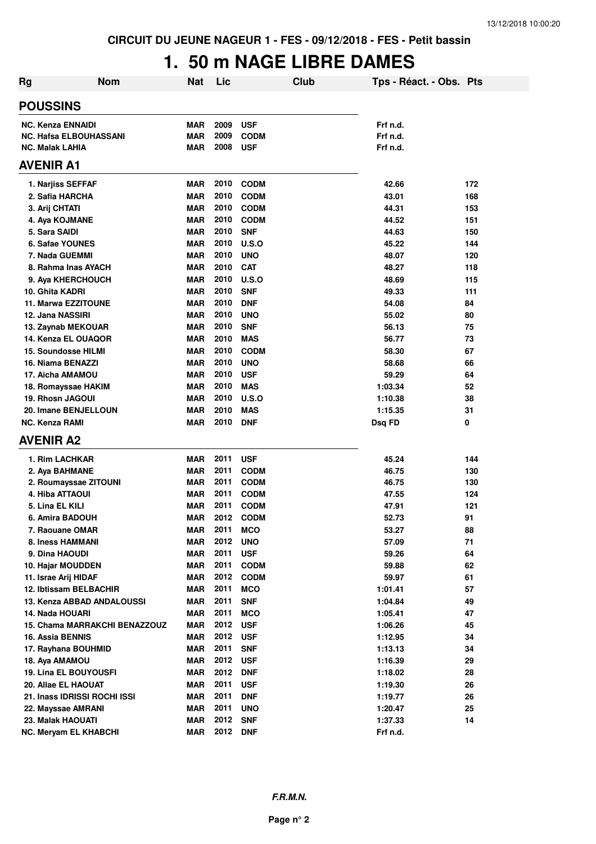## **1. 50 m NAGE LIBRE DAMES**

| <b>Rg</b>        | <b>Nom</b>                           | <b>Nat</b> | Lic      |                            | Club | Tps - Réact. - Obs. Pts |            |
|------------------|--------------------------------------|------------|----------|----------------------------|------|-------------------------|------------|
|                  | <b>POUSSINS</b>                      |            |          |                            |      |                         |            |
|                  | <b>NC. Kenza ENNAIDI</b>             | <b>MAR</b> | 2009     | <b>USF</b>                 |      | Frf n.d.                |            |
|                  | <b>NC. Hafsa ELBOUHASSANI</b>        | <b>MAR</b> | 2009     | <b>CODM</b>                |      | Frf n.d.                |            |
|                  | <b>NC. Malak LAHIA</b>               | <b>MAR</b> | 2008     | <b>USF</b>                 |      | Frf n.d.                |            |
| <b>AVENIR A1</b> |                                      |            |          |                            |      |                         |            |
|                  |                                      | <b>MAR</b> | 2010     | <b>CODM</b>                |      | 42.66                   | 172        |
|                  | 1. Narjiss SEFFAF<br>2. Safia HARCHA | <b>MAR</b> | 2010     | <b>CODM</b>                |      | 43.01                   | 168        |
|                  |                                      | <b>MAR</b> | 2010     |                            |      |                         |            |
|                  | 3. Arij CHTATI<br>4. Aya KOJMANE     | <b>MAR</b> | 2010     | <b>CODM</b><br><b>CODM</b> |      | 44.31<br>44.52          | 153<br>151 |
|                  | 5. Sara SAIDI                        | <b>MAR</b> | 2010     | <b>SNF</b>                 |      | 44.63                   | 150        |
|                  | 6. Safae YOUNES                      | <b>MAR</b> | 2010     | <b>U.S.O</b>               |      | 45.22                   | 144        |
|                  | 7. Nada GUEMMI                       | <b>MAR</b> | 2010     | <b>UNO</b>                 |      | 48.07                   | 120        |
|                  | 8. Rahma Inas AYACH                  | MAR        | 2010     | <b>CAT</b>                 |      | 48.27                   | 118        |
|                  | 9. Aya KHERCHOUCH                    | <b>MAR</b> | 2010     | <b>U.S.O</b>               |      | 48.69                   | 115        |
|                  | 10. Ghita KADRI                      | <b>MAR</b> | 2010     | <b>SNF</b>                 |      | 49.33                   | 111        |
|                  | 11. Marwa EZZITOUNE                  | <b>MAR</b> | 2010     | <b>DNF</b>                 |      | 54.08                   | 84         |
|                  | 12. Jana NASSIRI                     | <b>MAR</b> | 2010     | <b>UNO</b>                 |      | 55.02                   | 80         |
|                  | 13. Zaynab MEKOUAR                   | <b>MAR</b> | 2010     | <b>SNF</b>                 |      | 56.13                   | 75         |
|                  | 14. Kenza EL OUAQOR                  | <b>MAR</b> | 2010     | <b>MAS</b>                 |      | 56.77                   | 73         |
|                  | 15. Soundosse HILMI                  | <b>MAR</b> | 2010     | <b>CODM</b>                |      | 58.30                   | 67         |
|                  | 16. Niama BENAZZI                    | <b>MAR</b> | 2010     | <b>UNO</b>                 |      | 58.68                   | 66         |
|                  | 17. Aicha AMAMOU                     | <b>MAR</b> | 2010     | <b>USF</b>                 |      | 59.29                   | 64         |
|                  | 18. Romayssae HAKIM                  | <b>MAR</b> | 2010     | <b>MAS</b>                 |      | 1:03.34                 | 52         |
|                  | 19. Rhosn JAGOUI                     | <b>MAR</b> | 2010     | U.S.O                      |      | 1:10.38                 | 38         |
|                  | 20. Imane BENJELLOUN                 | <b>MAR</b> | 2010     | <b>MAS</b>                 |      | 1:15.35                 | 31         |
|                  | NC. Kenza RAMI                       | <b>MAR</b> | 2010     | <b>DNF</b>                 |      | Dsq FD                  | 0          |
|                  | <b>AVENIR A2</b>                     |            |          |                            |      |                         |            |
|                  | 1. Rim LACHKAR                       | <b>MAR</b> | 2011     | <b>USF</b>                 |      | 45.24                   | 144        |
|                  | 2. Aya BAHMANE                       | <b>MAR</b> | 2011     | <b>CODM</b>                |      | 46.75                   | 130        |
|                  | 2. Roumayssae ZITOUNI                | MAR        | 2011     | <b>CODM</b>                |      | 46.75                   | 130        |
|                  | 4. Hiba ATTAOUI                      | <b>MAR</b> | 2011     | <b>CODM</b>                |      | 47.55                   | 124        |
|                  | 5. Lina EL KILI                      | <b>MAR</b> | 2011     | <b>CODM</b>                |      | 47.91                   | 121        |
|                  | 6. Amira BADOUH                      | MAR        | 2012     | <b>CODM</b>                |      | 52.73                   | 91         |
|                  | 7. Raouane OMAR                      | <b>MAR</b> | 2011     | <b>MCO</b>                 |      | 53.27                   | 88         |
|                  | 8. Iness HAMMANI                     | <b>MAR</b> | 2012     | <b>UNO</b>                 |      | 57.09                   | 71         |
|                  | 9. Dina HAOUDI                       | <b>MAR</b> | 2011     | <b>USF</b>                 |      | 59.26                   | 64         |
|                  | 10. Hajar MOUDDEN                    | <b>MAR</b> | 2011     | <b>CODM</b>                |      | 59.88                   | 62         |
|                  | 11. Israe Arij HIDAF                 | <b>MAR</b> | 2012     | <b>CODM</b>                |      | 59.97                   | 61         |
|                  | 12. Ibtissam BELBACHIR               | <b>MAR</b> | 2011     | <b>MCO</b>                 |      | 1:01.41                 | 57         |
|                  | 13. Kenza ABBAD ANDALOUSSI           | <b>MAR</b> | 2011     | <b>SNF</b>                 |      | 1:04.84                 | 49         |
|                  | 14. Nada HOUARI                      | <b>MAR</b> | 2011     | <b>MCO</b>                 |      | 1:05.41                 | 47         |
|                  | <b>15. Chama MARRAKCHI BENAZZOUZ</b> | <b>MAR</b> | 2012     | <b>USF</b>                 |      | 1:06.26                 | 45         |
|                  | <b>16. Assia BENNIS</b>              | <b>MAR</b> | 2012     | <b>USF</b>                 |      | 1:12.95                 | 34         |
|                  | 17. Rayhana BOUHMID                  | <b>MAR</b> | 2011     | <b>SNF</b>                 |      | 1:13.13                 | 34         |
|                  | 18. Aya AMAMOU                       | <b>MAR</b> | 2012     | <b>USF</b>                 |      | 1:16.39                 | 29         |
|                  | <b>19. Lina EL BOUYOUSFI</b>         | <b>MAR</b> | 2012     | <b>DNF</b>                 |      | 1:18.02                 | 28         |
|                  | 20. Allae EL HAOUAT                  | <b>MAR</b> | 2011     | <b>USF</b>                 |      | 1:19.30                 | 26         |
|                  | 21. Inass IDRISSI ROCHI ISSI         | <b>MAR</b> | 2011     | <b>DNF</b>                 |      | 1:19.77                 | 26         |
|                  | 22. Mayssae AMRANI                   | <b>MAR</b> | 2011     | <b>UNO</b>                 |      | 1:20.47                 | 25         |
|                  | 23. Malak HAOUATI                    | <b>MAR</b> | 2012     | <b>SNF</b>                 |      | 1:37.33                 | 14         |
|                  | NC. Meryam EL KHABCHI                | <b>MAR</b> | 2012 DNF |                            |      | Frf n.d.                |            |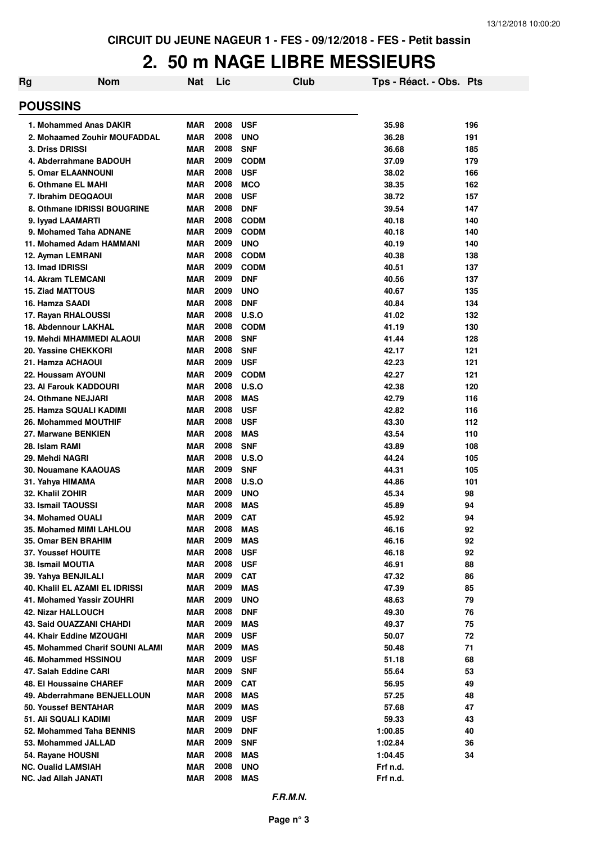## **2. 50 m NAGE LIBRE MESSIEURS**

| Rg | <b>Nom</b>                                            | <b>Nat</b>               | Lic          |                          | Club | Tps - Réact. - Obs. Pts |          |
|----|-------------------------------------------------------|--------------------------|--------------|--------------------------|------|-------------------------|----------|
|    | <b>POUSSINS</b>                                       |                          |              |                          |      |                         |          |
|    | 1. Mohammed Anas DAKIR                                | <b>MAR</b>               | 2008         | <b>USF</b>               |      | 35.98                   | 196      |
|    | 2. Mohaamed Zouhir MOUFADDAL                          | <b>MAR</b>               | 2008         | <b>UNO</b>               |      | 36.28                   | 191      |
|    | 3. Driss DRISSI                                       | <b>MAR</b>               | 2008         | <b>SNF</b>               |      | 36.68                   | 185      |
|    | 4. Abderrahmane BADOUH                                | <b>MAR</b>               | 2009         | <b>CODM</b>              |      | 37.09                   | 179      |
|    | <b>5. Omar ELAANNOUNI</b>                             | <b>MAR</b>               | 2008         | <b>USF</b>               |      | 38.02                   | 166      |
|    | 6. Othmane EL MAHI                                    | <b>MAR</b>               | 2008         | <b>MCO</b>               |      | 38.35                   | 162      |
|    | 7. Ibrahim DEQQAOUI                                   | <b>MAR</b>               | 2008         | <b>USF</b>               |      | 38.72                   | 157      |
|    | 8. Othmane IDRISSI BOUGRINE                           | <b>MAR</b>               | 2008         | <b>DNF</b>               |      | 39.54                   | 147      |
|    | 9. Iyyad LAAMARTI                                     | <b>MAR</b>               | 2008         | <b>CODM</b>              |      | 40.18                   | 140      |
|    | 9. Mohamed Taha ADNANE                                | <b>MAR</b>               | 2009         | <b>CODM</b>              |      | 40.18                   | 140      |
|    | 11. Mohamed Adam HAMMANI                              | <b>MAR</b>               | 2009         | <b>UNO</b>               |      | 40.19                   | 140      |
|    | 12. Ayman LEMRANI                                     | <b>MAR</b>               | 2008         | <b>CODM</b>              |      | 40.38                   | 138      |
|    | 13. Imad IDRISSI                                      | <b>MAR</b>               | 2009         | <b>CODM</b>              |      | 40.51                   | 137      |
|    | <b>14. Akram TLEMCANI</b>                             | <b>MAR</b>               | 2009         | <b>DNF</b>               |      | 40.56                   | 137      |
|    | <b>15. Ziad MATTOUS</b>                               | <b>MAR</b>               | 2009         | <b>UNO</b>               |      | 40.67                   | 135      |
|    | 16. Hamza SAADI                                       | <b>MAR</b>               | 2008         | <b>DNF</b>               |      | 40.84                   | 134      |
|    | 17. Rayan RHALOUSSI                                   | <b>MAR</b>               | 2008         | U.S.O                    |      | 41.02                   | 132      |
|    | 18. Abdennour LAKHAL                                  | <b>MAR</b>               | 2008         | <b>CODM</b>              |      | 41.19                   | 130      |
|    | 19. Mehdi MHAMMEDI ALAOUI                             | <b>MAR</b>               | 2008         | <b>SNF</b>               |      | 41.44                   | 128      |
|    | 20. Yassine CHEKKORI                                  | <b>MAR</b>               | 2008         | <b>SNF</b>               |      | 42.17                   | 121      |
|    | 21. Hamza ACHAOUI                                     | <b>MAR</b>               | 2009         | <b>USF</b>               |      | 42.23                   | 121      |
|    | 22. Houssam AYOUNI                                    | <b>MAR</b>               | 2009         | <b>CODM</b>              |      | 42.27                   | 121      |
|    | 23. Al Farouk KADDOURI                                | <b>MAR</b>               | 2008         | U.S.O                    |      | 42.38                   | 120      |
|    | 24. Othmane NEJJARI                                   | <b>MAR</b>               | 2008         | <b>MAS</b>               |      | 42.79                   | 116      |
|    | 25. Hamza SQUALI KADIMI                               | <b>MAR</b>               | 2008         | <b>USF</b>               |      | 42.82                   | 116      |
|    | 26. Mohammed MOUTHIF                                  | <b>MAR</b>               | 2008         | <b>USF</b>               |      | 43.30                   | 112      |
|    | 27. Marwane BENKIEN                                   | <b>MAR</b>               | 2008         | <b>MAS</b>               |      | 43.54                   | 110      |
|    | 28. Islam RAMI                                        | <b>MAR</b>               | 2008         | <b>SNF</b>               |      | 43.89                   | 108      |
|    | 29. Mehdi NAGRI                                       | <b>MAR</b>               | 2008         | U.S.O                    |      | 44.24                   | 105      |
|    | 30. Nouamane KAAOUAS                                  | <b>MAR</b>               | 2009         | <b>SNF</b>               |      | 44.31                   | 105      |
|    | 31. Yahya HIMAMA                                      | <b>MAR</b>               | 2008         | U.S.O                    |      | 44.86                   | 101      |
|    | 32. Khalil ZOHIR                                      | <b>MAR</b>               | 2009         | <b>UNO</b>               |      | 45.34                   | 98       |
|    | 33. Ismail TAOUSSI                                    | <b>MAR</b>               | 2008         | <b>MAS</b>               |      | 45.89                   | 94       |
|    | 34. Mohamed OUALI                                     | <b>MAR</b>               | 2009         | <b>CAT</b>               |      | 45.92                   | 94       |
|    | 35. Mohamed MIMI LAHLOU                               | <b>MAR</b>               | 2008         | <b>MAS</b>               |      | 46.16                   | 92       |
|    | 35. Omar BEN BRAHIM                                   | <b>MAR</b>               | 2009         | <b>MAS</b>               |      | 46.16                   | 92       |
|    | 37. Youssef HOUITE                                    | <b>MAR</b>               | 2008         | <b>USF</b>               |      | 46.18                   | 92       |
|    | 38. Ismail MOUTIA                                     | <b>MAR</b>               | 2008<br>2009 | <b>USF</b>               |      | 46.91                   | 88       |
|    | 39. Yahya BENJILALI<br>40. Khalil EL AZAMI EL IDRISSI | <b>MAR</b><br><b>MAR</b> | 2009         | <b>CAT</b><br><b>MAS</b> |      | 47.32<br>47.39          | 86       |
|    | 41. Mohamed Yassir ZOUHRI                             | <b>MAR</b>               | 2009         | <b>UNO</b>               |      | 48.63                   | 85<br>79 |
|    | 42. Nizar HALLOUCH                                    | <b>MAR</b>               | 2008         | <b>DNF</b>               |      | 49.30                   | 76       |
|    | 43. Said OUAZZANI CHAHDI                              | <b>MAR</b>               | 2009         | <b>MAS</b>               |      | 49.37                   | 75       |
|    | 44. Khair Eddine MZOUGHI                              | <b>MAR</b>               | 2009         | <b>USF</b>               |      | 50.07                   | 72       |
|    | 45. Mohammed Charif SOUNI ALAMI                       | <b>MAR</b>               | 2009         | <b>MAS</b>               |      | 50.48                   | 71       |
|    | 46. Mohammed HSSINOU                                  | <b>MAR</b>               | 2009         | <b>USF</b>               |      | 51.18                   | 68       |
|    | 47. Salah Eddine CARI                                 | <b>MAR</b>               | 2009         | <b>SNF</b>               |      | 55.64                   | 53       |
|    | 48. El Houssaine CHAREF                               | MAR                      | 2009         | <b>CAT</b>               |      | 56.95                   | 49       |
|    | 49. Abderrahmane BENJELLOUN                           | <b>MAR</b>               | 2008         | <b>MAS</b>               |      | 57.25                   | 48       |
|    | 50. Youssef BENTAHAR                                  | <b>MAR</b>               | 2009         | <b>MAS</b>               |      | 57.68                   | 47       |
|    | 51. Ali SQUALI KADIMI                                 | <b>MAR</b>               | 2009         | <b>USF</b>               |      | 59.33                   | 43       |
|    | 52. Mohammed Taha BENNIS                              | <b>MAR</b>               | 2009         | <b>DNF</b>               |      | 1:00.85                 | 40       |
|    | 53. Mohammed JALLAD                                   | <b>MAR</b>               | 2009         | <b>SNF</b>               |      | 1:02.84                 | 36       |
|    | 54. Rayane HOUSNI                                     | <b>MAR</b>               | 2008         | <b>MAS</b>               |      | 1:04.45                 | 34       |
|    | <b>NC. Oualid LAMSIAH</b>                             | <b>MAR</b>               | 2008         | <b>UNO</b>               |      | Frf n.d.                |          |
|    | NC. Jad Allah JANATI                                  | <b>MAR</b>               | 2008         | <b>MAS</b>               |      | Frf n.d.                |          |
|    |                                                       |                          |              |                          |      |                         |          |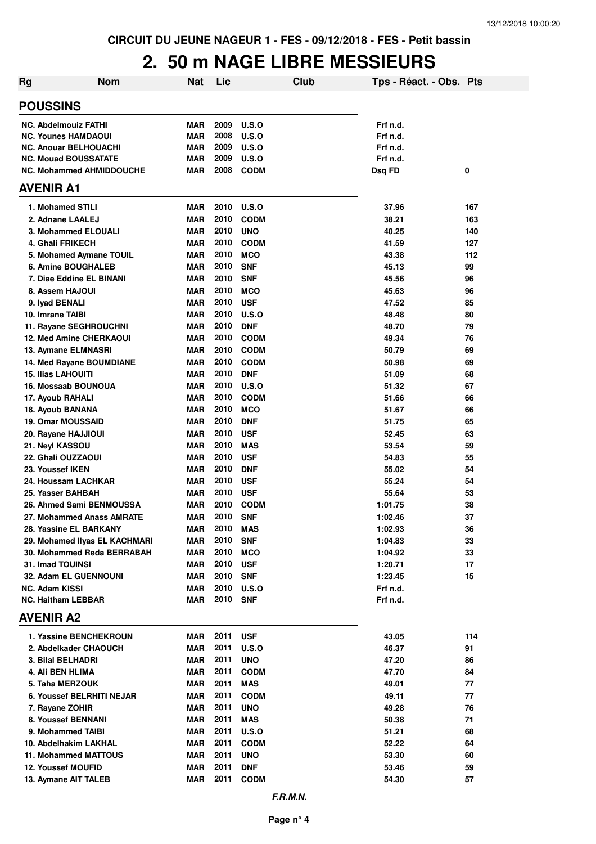## **2. 50 m NAGE LIBRE MESSIEURS**

| <b>Nom</b><br>Rg                        | <b>Nat</b>               | Lic          |                          | Club | Tps - Réact. - Obs. Pts |          |
|-----------------------------------------|--------------------------|--------------|--------------------------|------|-------------------------|----------|
| <b>POUSSINS</b>                         |                          |              |                          |      |                         |          |
| <b>NC. Abdelmouiz FATHI</b>             | <b>MAR</b>               | 2009         | U.S.O                    |      | Frf n.d.                |          |
| <b>NC. Younes HAMDAOUI</b>              | <b>MAR</b>               | 2008         | U.S.O                    |      | Frf n.d.                |          |
| <b>NC. Anouar BELHOUACHI</b>            | <b>MAR</b>               | 2009         | <b>U.S.O</b>             |      | Frf n.d.                |          |
| <b>NC. Mouad BOUSSATATE</b>             | <b>MAR</b>               | 2009         | <b>U.S.O</b>             |      | Frf n.d.                |          |
| <b>NC. Mohammed AHMIDDOUCHE</b>         | <b>MAR</b>               | 2008         | <b>CODM</b>              |      | Dsq FD                  | 0        |
| <b>AVENIR A1</b>                        |                          |              |                          |      |                         |          |
| 1. Mohamed STILI                        | <b>MAR</b>               | 2010         | <b>U.S.O</b>             |      | 37.96                   | 167      |
| 2. Adnane LAALEJ                        | <b>MAR</b>               | 2010         | <b>CODM</b>              |      | 38.21                   | 163      |
| 3. Mohammed ELOUALI                     | <b>MAR</b>               | 2010         | <b>UNO</b>               |      | 40.25                   | 140      |
| 4. Ghali FRIKECH                        | <b>MAR</b>               | 2010         | <b>CODM</b>              |      | 41.59                   | 127      |
| 5. Mohamed Aymane TOUIL                 | <b>MAR</b>               | 2010         | <b>MCO</b>               |      | 43.38                   | 112      |
| 6. Amine BOUGHALEB                      | <b>MAR</b>               | 2010         | <b>SNF</b>               |      | 45.13                   | 99       |
| 7. Diae Eddine EL BINANI                | <b>MAR</b>               | 2010         | <b>SNF</b>               |      | 45.56                   | 96       |
| 8. Assem HAJOUI                         | <b>MAR</b>               | 2010         | <b>MCO</b>               |      | 45.63                   | 96       |
| 9. Iyad BENALI                          | <b>MAR</b>               | 2010         | <b>USF</b>               |      | 47.52                   | 85       |
| 10. Imrane TAIBI                        | <b>MAR</b>               | 2010         | U.S.O                    |      | 48.48                   | 80       |
| 11. Rayane SEGHROUCHNI                  | <b>MAR</b>               | 2010         | <b>DNF</b>               |      | 48.70                   | 79       |
| <b>12. Med Amine CHERKAOUI</b>          | <b>MAR</b>               | 2010         | <b>CODM</b>              |      | 49.34                   | 76       |
| 13. Aymane ELMNASRI                     | <b>MAR</b>               | 2010         | <b>CODM</b>              |      | 50.79                   | 69       |
| 14. Med Rayane BOUMDIANE                | <b>MAR</b>               | 2010         | <b>CODM</b>              |      | 50.98                   | 69       |
| <b>15. Ilias LAHOUITI</b>               | <b>MAR</b>               | 2010         | <b>DNF</b>               |      | 51.09                   | 68       |
| 16. Mossaab BOUNOUA                     | <b>MAR</b>               | 2010         | U.S.O                    |      | 51.32                   | 67       |
| 17. Ayoub RAHALI                        | <b>MAR</b>               | 2010         | <b>CODM</b>              |      | 51.66                   | 66       |
| 18. Ayoub BANANA                        | <b>MAR</b>               | 2010         | <b>MCO</b>               |      | 51.67                   | 66       |
| <b>19. Omar MOUSSAID</b>                | <b>MAR</b>               | 2010         | <b>DNF</b>               |      | 51.75                   | 65       |
| 20. Rayane HAJJIOUI                     | <b>MAR</b>               | 2010<br>2010 | <b>USF</b>               |      | 52.45                   | 63       |
| 21. Neyl KASSOU                         | <b>MAR</b><br><b>MAR</b> | 2010         | <b>MAS</b>               |      | 53.54                   | 59       |
| 22. Ghali OUZZAOUI                      | <b>MAR</b>               | 2010         | <b>USF</b>               |      | 54.83                   | 55       |
| 23. Youssef IKEN<br>24. Houssam LACHKAR | <b>MAR</b>               | 2010         | <b>DNF</b><br><b>USF</b> |      | 55.02<br>55.24          | 54<br>54 |
| 25. Yasser BAHBAH                       | <b>MAR</b>               | 2010         | <b>USF</b>               |      | 55.64                   | 53       |
| 26. Ahmed Sami BENMOUSSA                | <b>MAR</b>               | 2010         | <b>CODM</b>              |      | 1:01.75                 | 38       |
| 27. Mohammed Anass AMRATE               | <b>MAR</b>               | 2010         | <b>SNF</b>               |      | 1:02.46                 | 37       |
| 28. Yassine EL BARKANY                  | <b>MAR</b>               | 2010 MAS     |                          |      | 1:02.93                 | 36       |
| 29. Mohamed IIyas EL KACHMARI           | MAR                      | 2010         | <b>SNF</b>               |      | 1:04.83                 | 33       |
| 30. Mohammed Reda BERRABAH              | MAR                      | 2010         | <b>MCO</b>               |      | 1:04.92                 | 33       |
| 31. Imad TOUINSI                        | MAR                      | 2010         | <b>USF</b>               |      | 1:20.71                 | 17       |
| 32. Adam EL GUENNOUNI                   | MAR                      | 2010         | <b>SNF</b>               |      | 1:23.45                 | 15       |
| <b>NC. Adam KISSI</b>                   | <b>MAR</b>               | 2010         | <b>U.S.O</b>             |      | Frf n.d.                |          |
| <b>NC. Haitham LEBBAR</b>               | <b>MAR</b>               | 2010 SNF     |                          |      | Frf n.d.                |          |
| <b>AVENIR A2</b>                        |                          |              |                          |      |                         |          |
| 1. Yassine BENCHEKROUN                  | MAR                      | 2011         | <b>USF</b>               |      | 43.05                   | 114      |
| 2. Abdelkader CHAOUCH                   | MAR                      | 2011         | <b>U.S.O</b>             |      | 46.37                   | 91       |
| 3. Bilal BELHADRI                       | MAR                      | 2011         | <b>UNO</b>               |      | 47.20                   | 86       |
| 4. Ali BEN HLIMA                        | MAR                      | 2011         | <b>CODM</b>              |      | 47.70                   | 84       |
| 5. Taha MERZOUK                         | MAR                      | 2011         | MAS                      |      | 49.01                   | 77       |
| <b>6. Youssef BELRHITI NEJAR</b>        | MAR                      | 2011         | <b>CODM</b>              |      | 49.11                   | 77       |
| 7. Rayane ZOHIR                         | MAR                      | 2011         | <b>UNO</b>               |      | 49.28                   | 76       |
| 8. Youssef BENNANI                      | MAR                      | 2011         | <b>MAS</b>               |      | 50.38                   | 71       |
| 9. Mohammed TAIBI                       | MAR                      | 2011         | <b>U.S.O</b>             |      | 51.21                   | 68       |
| 10. Abdelhakim LAKHAL                   | MAR                      | 2011         | <b>CODM</b>              |      | 52.22                   | 64       |
| 11. Mohammed MATTOUS                    | <b>MAR</b>               | 2011         | <b>UNO</b>               |      | 53.30                   | 60       |
| <b>12. Youssef MOUFID</b>               | <b>MAR</b>               | 2011         | <b>DNF</b>               |      | 53.46                   | 59       |
| 13. Aymane AIT TALEB                    | <b>MAR</b>               | 2011         | <b>CODM</b>              |      | 54.30                   | 57       |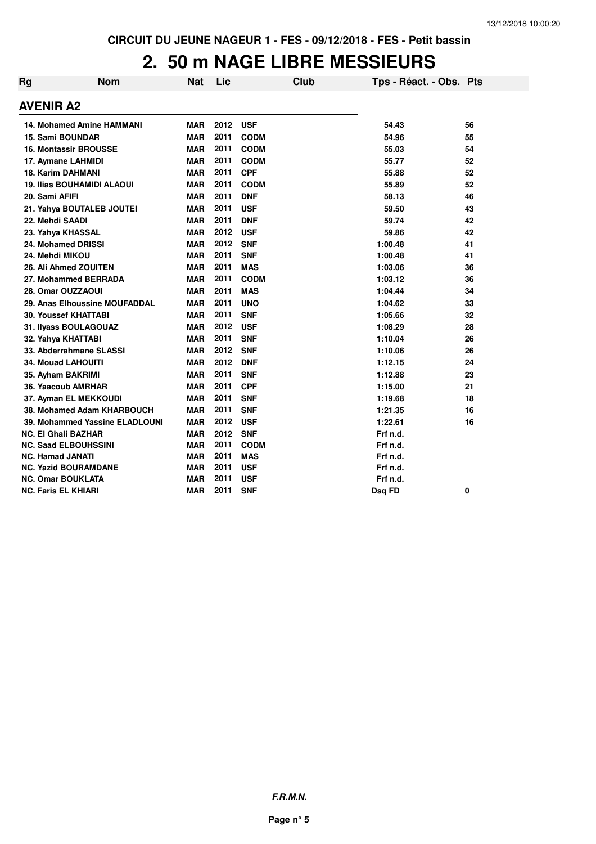## **2. 50 m NAGE LIBRE MESSIEURS**

| Rg | <b>Nom</b>                        | <b>Nat</b> | Lic  |             | <b>Club</b> | Tps - Réact. - Obs. Pts |    |
|----|-----------------------------------|------------|------|-------------|-------------|-------------------------|----|
|    | <b>AVENIR A2</b>                  |            |      |             |             |                         |    |
|    | <b>14. Mohamed Amine HAMMANI</b>  | <b>MAR</b> | 2012 | <b>USF</b>  |             | 54.43                   | 56 |
|    | 15. Sami BOUNDAR                  | <b>MAR</b> | 2011 | <b>CODM</b> |             | 54.96                   | 55 |
|    | <b>16. Montassir BROUSSE</b>      | <b>MAR</b> | 2011 | <b>CODM</b> |             | 55.03                   | 54 |
|    | 17. Aymane LAHMIDI                | <b>MAR</b> | 2011 | <b>CODM</b> |             | 55.77                   | 52 |
|    | <b>18. Karim DAHMANI</b>          | <b>MAR</b> | 2011 | <b>CPF</b>  |             | 55.88                   | 52 |
|    | <b>19. Ilias BOUHAMIDI ALAOUI</b> | <b>MAR</b> | 2011 | <b>CODM</b> |             | 55.89                   | 52 |
|    | 20. Sami AFIFI                    | <b>MAR</b> | 2011 | <b>DNF</b>  |             | 58.13                   | 46 |
|    | 21. Yahya BOUTALEB JOUTEI         | <b>MAR</b> | 2011 | <b>USF</b>  |             | 59.50                   | 43 |
|    | 22. Mehdi SAADI                   | <b>MAR</b> | 2011 | <b>DNF</b>  |             | 59.74                   | 42 |
|    | 23. Yahya KHASSAL                 | <b>MAR</b> | 2012 | <b>USF</b>  |             | 59.86                   | 42 |
|    | 24. Mohamed DRISSI                | <b>MAR</b> | 2012 | <b>SNF</b>  |             | 1:00.48                 | 41 |
|    | 24. Mehdi MIKOU                   | <b>MAR</b> | 2011 | <b>SNF</b>  |             | 1:00.48                 | 41 |
|    | 26. Ali Ahmed ZOUITEN             | <b>MAR</b> | 2011 | <b>MAS</b>  |             | 1:03.06                 | 36 |
|    | 27. Mohammed BERRADA              | <b>MAR</b> | 2011 | <b>CODM</b> |             | 1:03.12                 | 36 |
|    | 28. Omar OUZZAOUI                 | <b>MAR</b> | 2011 | <b>MAS</b>  |             | 1:04.44                 | 34 |
|    | 29. Anas Elhoussine MOUFADDAL     | <b>MAR</b> | 2011 | <b>UNO</b>  |             | 1:04.62                 | 33 |
|    | <b>30. Youssef KHATTABI</b>       | <b>MAR</b> | 2011 | <b>SNF</b>  |             | 1:05.66                 | 32 |
|    | 31. Ilyass BOULAGOUAZ             | <b>MAR</b> | 2012 | <b>USF</b>  |             | 1:08.29                 | 28 |
|    | 32. Yahya KHATTABI                | <b>MAR</b> | 2011 | <b>SNF</b>  |             | 1:10.04                 | 26 |
|    | 33. Abderrahmane SLASSI           | <b>MAR</b> | 2012 | <b>SNF</b>  |             | 1:10.06                 | 26 |
|    | <b>34. Mouad LAHOUITI</b>         | <b>MAR</b> | 2012 | <b>DNF</b>  |             | 1:12.15                 | 24 |
|    | 35. Ayham BAKRIMI                 | <b>MAR</b> | 2011 | <b>SNF</b>  |             | 1:12.88                 | 23 |
|    | 36. Yaacoub AMRHAR                | <b>MAR</b> | 2011 | <b>CPF</b>  |             | 1:15.00                 | 21 |
|    | 37. Ayman EL MEKKOUDI             | <b>MAR</b> | 2011 | <b>SNF</b>  |             | 1:19.68                 | 18 |
|    | 38. Mohamed Adam KHARBOUCH        | <b>MAR</b> | 2011 | <b>SNF</b>  |             | 1:21.35                 | 16 |
|    | 39. Mohammed Yassine ELADLOUNI    | <b>MAR</b> | 2012 | <b>USF</b>  |             | 1:22.61                 | 16 |
|    | NC. El Ghali BAZHAR               | <b>MAR</b> | 2012 | <b>SNF</b>  |             | Frf n.d.                |    |
|    | <b>NC. Saad ELBOUHSSINI</b>       | <b>MAR</b> | 2011 | <b>CODM</b> |             | Frf n.d.                |    |
|    | <b>NC. Hamad JANATI</b>           | <b>MAR</b> | 2011 | <b>MAS</b>  |             | Frf n.d.                |    |
|    | <b>NC. Yazid BOURAMDANE</b>       | <b>MAR</b> | 2011 | <b>USF</b>  |             | Frf n.d.                |    |
|    | <b>NC. Omar BOUKLATA</b>          | <b>MAR</b> | 2011 | <b>USF</b>  |             | Frf n.d.                |    |
|    | NC. Faris EL KHIARI               | <b>MAR</b> | 2011 | <b>SNF</b>  |             | Dsq FD                  | 0  |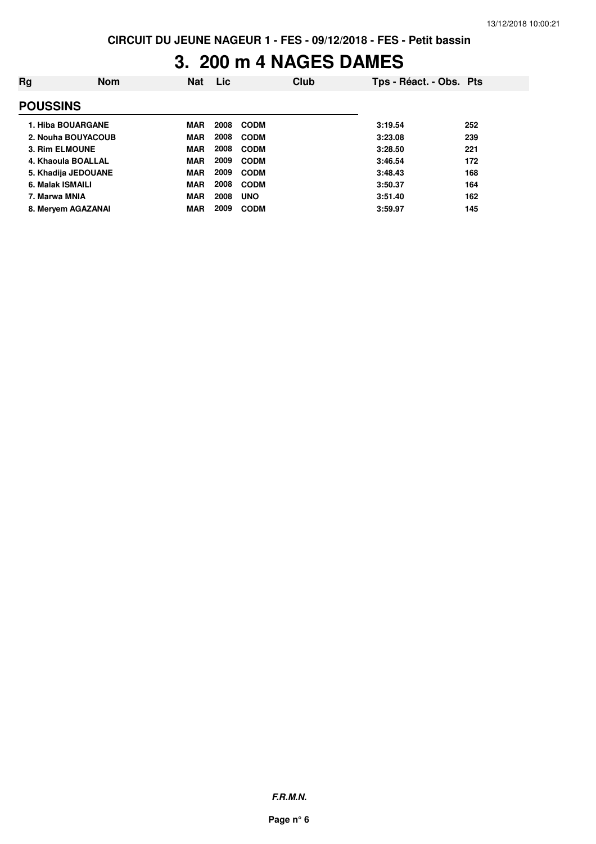## **3. 200 m 4 NAGES DAMES**

| Rg | <b>Nom</b>          | <b>Nat</b> | Lic  |             | Club | Tps - Réact. - Obs. Pts |     |
|----|---------------------|------------|------|-------------|------|-------------------------|-----|
|    | <b>POUSSINS</b>     |            |      |             |      |                         |     |
|    | 1. Hiba BOUARGANE   | <b>MAR</b> | 2008 | <b>CODM</b> |      | 3:19.54                 | 252 |
|    | 2. Nouha BOUYACOUB  | <b>MAR</b> | 2008 | <b>CODM</b> |      | 3:23.08                 | 239 |
|    | 3. Rim ELMOUNE      | <b>MAR</b> | 2008 | <b>CODM</b> |      | 3:28.50                 | 221 |
|    | 4. Khaoula BOALLAL  | <b>MAR</b> | 2009 | <b>CODM</b> |      | 3:46.54                 | 172 |
|    | 5. Khadija JEDOUANE | <b>MAR</b> | 2009 | <b>CODM</b> |      | 3:48.43                 | 168 |
|    | 6. Malak ISMAILI    | <b>MAR</b> | 2008 | <b>CODM</b> |      | 3:50.37                 | 164 |
|    | 7. Marwa MNIA       | <b>MAR</b> | 2008 | <b>UNO</b>  |      | 3:51.40                 | 162 |
|    | 8. Meryem AGAZANAI  | <b>MAR</b> | 2009 | <b>CODM</b> |      | 3:59.97                 | 145 |
|    |                     |            |      |             |      |                         |     |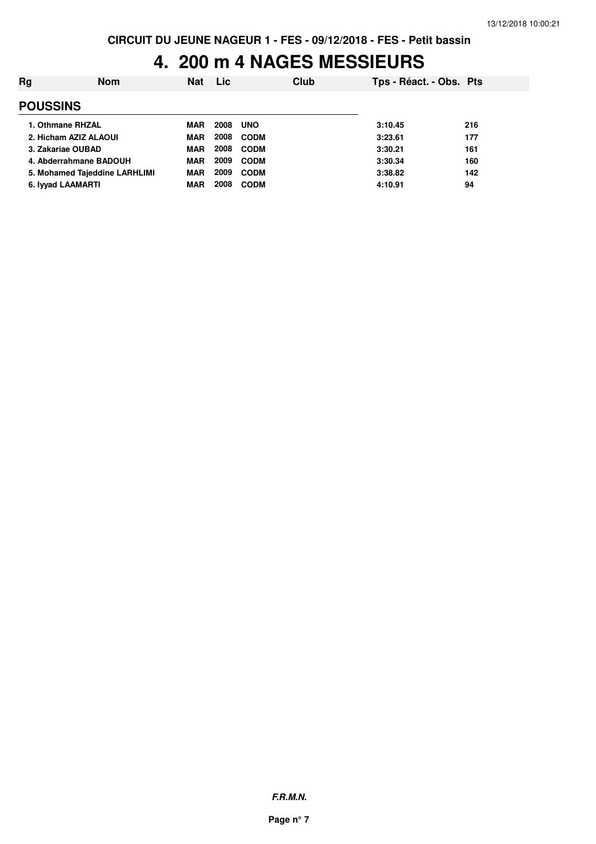#### **4. 200 m 4 NAGES MESSIEURS**

| Rg              | <b>Nom</b>                    | <b>Nat</b> | <b>Lic</b> |             | Club | Tps - Réact. - Obs. Pts |     |
|-----------------|-------------------------------|------------|------------|-------------|------|-------------------------|-----|
| <b>POUSSINS</b> |                               |            |            |             |      |                         |     |
|                 | 1. Othmane RHZAL              | <b>MAR</b> | 2008       | <b>UNO</b>  |      | 3:10.45                 | 216 |
|                 | 2. Hicham AZIZ ALAOUI         | <b>MAR</b> | 2008       | <b>CODM</b> |      | 3:23.61                 | 177 |
|                 | 3. Zakariae OUBAD             | <b>MAR</b> | 2008       | <b>CODM</b> |      | 3:30.21                 | 161 |
|                 | 4. Abderrahmane BADOUH        | <b>MAR</b> | 2009       | <b>CODM</b> |      | 3:30.34                 | 160 |
|                 | 5. Mohamed Tajeddine LARHLIMI | <b>MAR</b> | 2009       | <b>CODM</b> |      | 3:38.82                 | 142 |
|                 | 6. Iyyad LAAMARTI             | <b>MAR</b> | 2008       | <b>CODM</b> |      | 4:10.91                 | 94  |
|                 |                               |            |            |             |      |                         |     |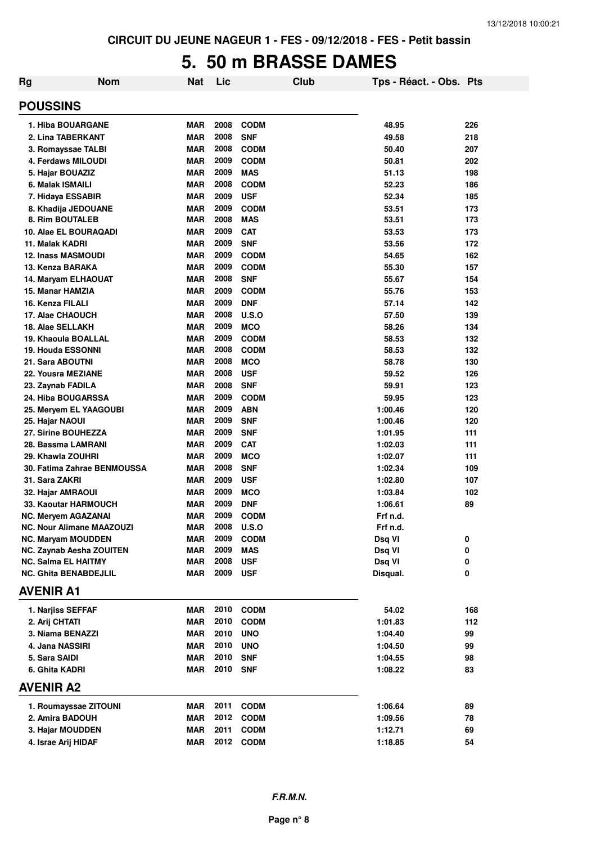## **5. 50 m BRASSE DAMES**

| Rg                | <b>Nom</b>                       | Nat        | Lic  |              | <b>Club</b> | Tps - Réact. - Obs. Pts |     |
|-------------------|----------------------------------|------------|------|--------------|-------------|-------------------------|-----|
| <b>POUSSINS</b>   |                                  |            |      |              |             |                         |     |
|                   | 1. Hiba BOUARGANE                | <b>MAR</b> | 2008 | <b>CODM</b>  |             | 48.95                   | 226 |
|                   | 2. Lina TABERKANT                | <b>MAR</b> | 2008 | <b>SNF</b>   |             | 49.58                   | 218 |
|                   | 3. Romayssae TALBI               | <b>MAR</b> | 2008 | <b>CODM</b>  |             | 50.40                   | 207 |
|                   | 4. Ferdaws MILOUDI               | <b>MAR</b> | 2009 | <b>CODM</b>  |             | 50.81                   | 202 |
|                   | 5. Hajar BOUAZIZ                 | <b>MAR</b> | 2009 | <b>MAS</b>   |             | 51.13                   | 198 |
| 6. Malak ISMAILI  |                                  | <b>MAR</b> | 2008 | <b>CODM</b>  |             | 52.23                   | 186 |
|                   | 7. Hidaya ESSABIR                | <b>MAR</b> | 2009 | <b>USF</b>   |             | 52.34                   | 185 |
|                   | 8. Khadija JEDOUANE              | <b>MAR</b> | 2009 | <b>CODM</b>  |             | 53.51                   | 173 |
|                   | 8. Rim BOUTALEB                  | <b>MAR</b> | 2008 | <b>MAS</b>   |             | 53.51                   | 173 |
|                   | 10. Alae EL BOURAQADI            | <b>MAR</b> | 2009 | <b>CAT</b>   |             | 53.53                   | 173 |
| 11. Malak KADRI   |                                  | <b>MAR</b> | 2009 | <b>SNF</b>   |             | 53.56                   | 172 |
|                   | <b>12. Inass MASMOUDI</b>        | <b>MAR</b> | 2009 | <b>CODM</b>  |             | 54.65                   | 162 |
| 13. Kenza BARAKA  |                                  | <b>MAR</b> | 2009 | <b>CODM</b>  |             | 55.30                   | 157 |
|                   | 14. Maryam ELHAOUAT              | <b>MAR</b> | 2008 | <b>SNF</b>   |             | 55.67                   | 154 |
| 15. Manar HAMZIA  |                                  | <b>MAR</b> | 2009 | <b>CODM</b>  |             | 55.76                   | 153 |
| 16. Kenza FILALI  |                                  | <b>MAR</b> | 2009 | <b>DNF</b>   |             | 57.14                   | 142 |
| 17. Alae CHAOUCH  |                                  | <b>MAR</b> | 2008 | U.S.O        |             | 57.50                   | 139 |
| 18. Alae SELLAKH  |                                  | <b>MAR</b> | 2009 | <b>MCO</b>   |             | 58.26                   | 134 |
|                   | 19. Khaoula BOALLAL              | <b>MAR</b> | 2009 | <b>CODM</b>  |             | 58.53                   | 132 |
|                   | <b>19. Houda ESSONNI</b>         | MAR        | 2008 | <b>CODM</b>  |             | 58.53                   | 132 |
| 21. Sara ABOUTNI  |                                  | MAR        | 2008 | <b>MCO</b>   |             | 58.78                   | 130 |
|                   | 22. Yousra MEZIANE               | MAR        | 2008 | <b>USF</b>   |             | 59.52                   | 126 |
| 23. Zaynab FADILA |                                  | <b>MAR</b> | 2008 | <b>SNF</b>   |             | 59.91                   | 123 |
|                   | <b>24. Hiba BOUGARSSA</b>        | <b>MAR</b> | 2009 | <b>CODM</b>  |             | 59.95                   | 123 |
|                   | 25. Meryem EL YAAGOUBI           | <b>MAR</b> | 2009 | <b>ABN</b>   |             | 1:00.46                 | 120 |
| 25. Hajar NAOUI   |                                  | <b>MAR</b> | 2009 | <b>SNF</b>   |             | 1:00.46                 | 120 |
|                   | 27. Sirine BOUHEZZA              | MAR        | 2009 | <b>SNF</b>   |             | 1:01.95                 | 111 |
|                   | 28. Bassma LAMRANI               | <b>MAR</b> | 2009 | <b>CAT</b>   |             | 1:02.03                 | 111 |
| 29. Khawla ZOUHRI |                                  | <b>MAR</b> | 2009 | <b>MCO</b>   |             | 1:02.07                 | 111 |
|                   | 30. Fatima Zahrae BENMOUSSA      | MAR        | 2008 | <b>SNF</b>   |             | 1:02.34                 | 109 |
| 31. Sara ZAKRI    |                                  | MAR        | 2009 | <b>USF</b>   |             | 1:02.80                 | 107 |
| 32. Hajar AMRAOUI |                                  | MAR        | 2009 | <b>MCO</b>   |             | 1:03.84                 | 102 |
|                   | 33. Kaoutar HARMOUCH             | MAR        | 2009 | <b>DNF</b>   |             | 1:06.61                 | 89  |
|                   | <b>NC. Meryem AGAZANAI</b>       | <b>MAR</b> | 2009 | <b>CODM</b>  |             | Frf n.d.                |     |
|                   | <b>NC. Nour Alimane MAAZOUZI</b> | MAR        | 2008 | <b>U.S.O</b> |             | Frf n.d.                |     |
|                   | <b>NC. Maryam MOUDDEN</b>        | <b>MAR</b> | 2009 | <b>CODM</b>  |             | Dsq VI                  | 0   |
|                   | NC. Zaynab Aesha ZOUITEN         | <b>MAR</b> | 2009 | <b>MAS</b>   |             | Dsq VI                  | 0   |
|                   | <b>NC. Salma EL HAITMY</b>       | MAR        | 2008 | <b>USF</b>   |             | Dsq VI                  | 0   |
|                   | <b>NC. Ghita BENABDEJLIL</b>     | MAR        | 2009 | <b>USF</b>   |             | Disqual.                | 0   |
| <b>AVENIR A1</b>  |                                  |            |      |              |             |                         |     |
|                   | 1. Narjiss SEFFAF                | MAR        | 2010 | <b>CODM</b>  |             | 54.02                   | 168 |
| 2. Arij CHTATI    |                                  | MAR        | 2010 | <b>CODM</b>  |             | 1:01.83                 | 112 |
|                   | 3. Niama BENAZZI                 | MAR        | 2010 | <b>UNO</b>   |             | 1:04.40                 | 99  |
| 4. Jana NASSIRI   |                                  | <b>MAR</b> | 2010 | <b>UNO</b>   |             | 1:04.50                 | 99  |
| 5. Sara SAIDI     |                                  | MAR        | 2010 | <b>SNF</b>   |             | 1:04.55                 | 98  |
| 6. Ghita KADRI    |                                  | MAR        | 2010 | <b>SNF</b>   |             | 1:08.22                 | 83  |
| <b>AVENIR A2</b>  |                                  |            |      |              |             |                         |     |
|                   | 1. Roumayssae ZITOUNI            | MAR        | 2011 | <b>CODM</b>  |             | 1:06.64                 | 89  |
|                   | 2. Amira BADOUH                  | MAR        | 2012 | <b>CODM</b>  |             | 1:09.56                 | 78  |
|                   | 3. Hajar MOUDDEN                 | MAR        | 2011 | <b>CODM</b>  |             | 1:12.71                 | 69  |
|                   | 4. Israe Arij HIDAF              | <b>MAR</b> |      | 2012 CODM    |             | 1:18.85                 | 54  |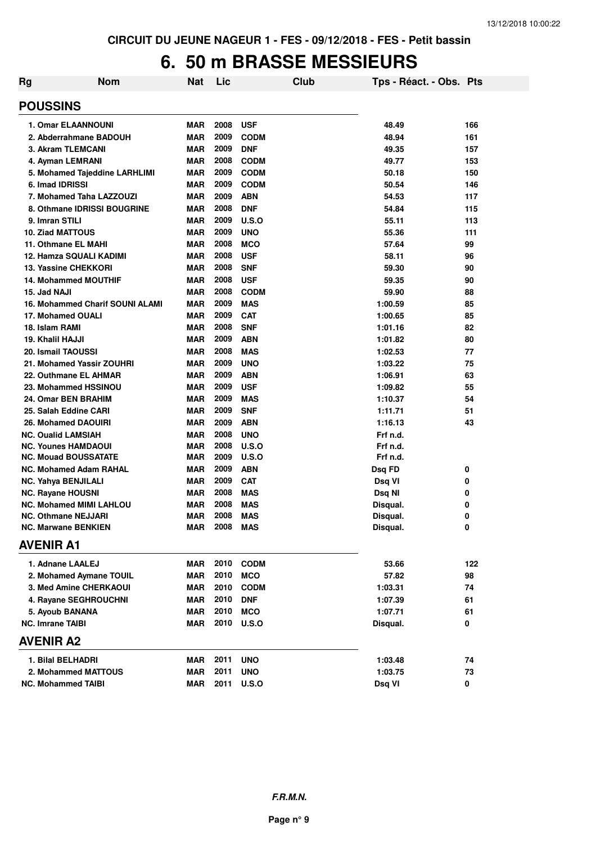## **6. 50 m BRASSE MESSIEURS**

| Rg                             | <b>Nom</b>                             | <b>Nat</b> | Lic      |              | Club | Tps - Réact. - Obs. Pts |     |
|--------------------------------|----------------------------------------|------------|----------|--------------|------|-------------------------|-----|
| <b>POUSSINS</b>                |                                        |            |          |              |      |                         |     |
| <b>1. Omar ELAANNOUNI</b>      |                                        | <b>MAR</b> | 2008     | <b>USF</b>   |      | 48.49                   | 166 |
| 2. Abderrahmane BADOUH         |                                        | <b>MAR</b> | 2009     | <b>CODM</b>  |      | 48.94                   | 161 |
| 3. Akram TLEMCANI              |                                        | <b>MAR</b> | 2009     | <b>DNF</b>   |      | 49.35                   | 157 |
| 4. Ayman LEMRANI               |                                        | <b>MAR</b> | 2008     | <b>CODM</b>  |      | 49.77                   | 153 |
|                                | 5. Mohamed Tajeddine LARHLIMI          | MAR        | 2009     | <b>CODM</b>  |      | 50.18                   | 150 |
| 6. Imad IDRISSI                |                                        | <b>MAR</b> | 2009     | <b>CODM</b>  |      | 50.54                   | 146 |
| 7. Mohamed Taha LAZZOUZI       |                                        | <b>MAR</b> | 2009     | <b>ABN</b>   |      | 54.53                   | 117 |
|                                | 8. Othmane IDRISSI BOUGRINE            | <b>MAR</b> | 2008     | <b>DNF</b>   |      | 54.84                   | 115 |
| 9. Imran STILI                 |                                        | <b>MAR</b> | 2009     | U.S.O        |      | 55.11                   | 113 |
| <b>10. Ziad MATTOUS</b>        |                                        | <b>MAR</b> | 2009     | <b>UNO</b>   |      | 55.36                   | 111 |
| 11. Othmane EL MAHI            |                                        | <b>MAR</b> | 2008     | <b>MCO</b>   |      | 57.64                   | 99  |
| 12. Hamza SQUALI KADIMI        |                                        | <b>MAR</b> | 2008     | <b>USF</b>   |      | 58.11                   | 96  |
| <b>13. Yassine CHEKKORI</b>    |                                        | <b>MAR</b> | 2008     | <b>SNF</b>   |      | 59.30                   | 90  |
| <b>14. Mohammed MOUTHIF</b>    |                                        | <b>MAR</b> | 2008     | <b>USF</b>   |      | 59.35                   | 90  |
| 15. Jad NAJI                   |                                        | <b>MAR</b> | 2008     | <b>CODM</b>  |      | 59.90                   | 88  |
|                                | <b>16. Mohammed Charif SOUNI ALAMI</b> | <b>MAR</b> | 2009     | <b>MAS</b>   |      | 1:00.59                 | 85  |
| 17. Mohamed OUALI              |                                        | <b>MAR</b> | 2009     | <b>CAT</b>   |      | 1:00.65                 | 85  |
| 18. Islam RAMI                 |                                        | <b>MAR</b> | 2008     | <b>SNF</b>   |      | 1:01.16                 | 82  |
| 19. Khalil HAJJI               |                                        | <b>MAR</b> | 2009     | <b>ABN</b>   |      | 1:01.82                 | 80  |
| 20. Ismail TAOUSSI             |                                        | <b>MAR</b> | 2008     | <b>MAS</b>   |      | 1:02.53                 | 77  |
| 21. Mohamed Yassir ZOUHRI      |                                        | <b>MAR</b> | 2009     | <b>UNO</b>   |      | 1:03.22                 | 75  |
| 22. Outhmane EL AHMAR          |                                        | <b>MAR</b> | 2009     | <b>ABN</b>   |      | 1:06.91                 | 63  |
| 23. Mohammed HSSINOU           |                                        | <b>MAR</b> | 2009     | <b>USF</b>   |      | 1:09.82                 | 55  |
| 24. Omar BEN BRAHIM            |                                        | <b>MAR</b> | 2009     | <b>MAS</b>   |      | 1:10.37                 | 54  |
| 25. Salah Eddine CARI          |                                        | <b>MAR</b> | 2009     | <b>SNF</b>   |      | 1:11.71                 | 51  |
| 26. Mohamed DAOUIRI            |                                        | <b>MAR</b> | 2009     | <b>ABN</b>   |      | 1:16.13                 | 43  |
| <b>NC. Oualid LAMSIAH</b>      |                                        | <b>MAR</b> | 2008     | <b>UNO</b>   |      | Frf n.d.                |     |
| <b>NC. Younes HAMDAOUI</b>     |                                        | <b>MAR</b> | 2008     | U.S.O        |      | Frf n.d.                |     |
| <b>NC. Mouad BOUSSATATE</b>    |                                        | <b>MAR</b> | 2009     | U.S.O        |      | Frf n.d.                |     |
| <b>NC. Mohamed Adam RAHAL</b>  |                                        | MAR        | 2009     | <b>ABN</b>   |      | Dsq FD                  | 0   |
| <b>NC. Yahya BENJILALI</b>     |                                        | <b>MAR</b> | 2009     | <b>CAT</b>   |      | Dsq VI                  | 0   |
| <b>NC. Rayane HOUSNI</b>       |                                        | <b>MAR</b> | 2008     | <b>MAS</b>   |      | Dsq NI                  | 0   |
| <b>NC. Mohamed MIMI LAHLOU</b> |                                        | MAR        | 2008     | <b>MAS</b>   |      | Disqual.                | 0   |
| <b>NC. Othmane NEJJARI</b>     |                                        | <b>MAR</b> | 2008     | <b>MAS</b>   |      | Disqual.                | 0   |
| <b>NC. Marwane BENKIEN</b>     |                                        | <b>MAR</b> | 2008 MAS |              |      | Disqual.                | 0   |
| <b>AVENIR A1</b>               |                                        |            |          |              |      |                         |     |
| 1. Adnane LAALEJ               |                                        | MAR        |          | 2010 CODM    |      | 53.66                   | 122 |
| 2. Mohamed Aymane TOUIL        |                                        | MAR        | 2010     | <b>MCO</b>   |      | 57.82                   | 98  |
| 3. Med Amine CHERKAOUI         |                                        | <b>MAR</b> | 2010     | <b>CODM</b>  |      | 1:03.31                 | 74  |
| 4. Rayane SEGHROUCHNI          |                                        | <b>MAR</b> | 2010     | <b>DNF</b>   |      | 1:07.39                 | 61  |
| 5. Ayoub BANANA                |                                        | MAR        | 2010     | <b>MCO</b>   |      | 1:07.71                 | 61  |
| <b>NC. Imrane TAIBI</b>        |                                        | <b>MAR</b> | 2010     | U.S.O        |      | Disqual.                | 0   |
| <b>AVENIR A2</b>               |                                        |            |          |              |      |                         |     |
| 1. Bilal BELHADRI              |                                        | MAR        | 2011     | <b>UNO</b>   |      | 1:03.48                 | 74  |
| 2. Mohammed MATTOUS            |                                        | MAR        | 2011     | <b>UNO</b>   |      | 1:03.75                 | 73  |
| <b>NC. Mohammed TAIBI</b>      |                                        | <b>MAR</b> | 2011     | <b>U.S.O</b> |      | Dsq VI                  | 0   |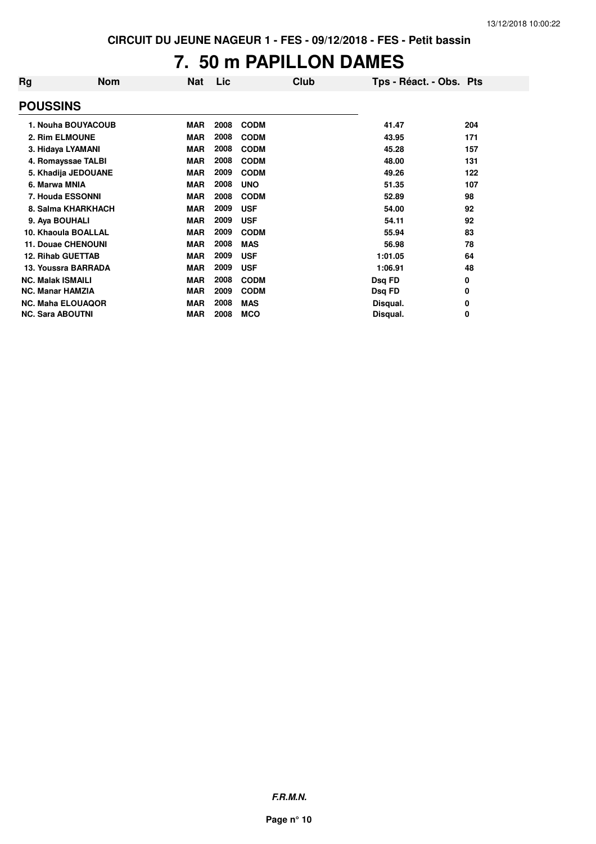## **7. 50 m PAPILLON DAMES**

| Rg                       | <b>Nom</b>                | Nat        | Lic  | Club        | Tps - Réact. - Obs. Pts |     |
|--------------------------|---------------------------|------------|------|-------------|-------------------------|-----|
| <b>POUSSINS</b>          |                           |            |      |             |                         |     |
|                          | 1. Nouha BOUYACOUB        | <b>MAR</b> | 2008 | <b>CODM</b> | 41.47                   | 204 |
| 2. Rim ELMOUNE           |                           | <b>MAR</b> | 2008 | <b>CODM</b> | 43.95                   | 171 |
|                          | 3. Hidaya LYAMANI         | <b>MAR</b> | 2008 | <b>CODM</b> | 45.28                   | 157 |
|                          | 4. Romayssae TALBI        | <b>MAR</b> | 2008 | <b>CODM</b> | 48.00                   | 131 |
|                          | 5. Khadija JEDOUANE       | <b>MAR</b> | 2009 | <b>CODM</b> | 49.26                   | 122 |
| 6. Marwa MNIA            |                           | <b>MAR</b> | 2008 | <b>UNO</b>  | 51.35                   | 107 |
|                          | 7. Houda ESSONNI          | <b>MAR</b> | 2008 | <b>CODM</b> | 52.89                   | 98  |
|                          | 8. Salma KHARKHACH        | <b>MAR</b> | 2009 | <b>USF</b>  | 54.00                   | 92  |
| 9. Aya BOUHALI           |                           | <b>MAR</b> | 2009 | <b>USF</b>  | 54.11                   | 92  |
|                          | 10. Khaoula BOALLAL       | <b>MAR</b> | 2009 | <b>CODM</b> | 55.94                   | 83  |
|                          | <b>11. Douae CHENOUNI</b> | <b>MAR</b> | 2008 | <b>MAS</b>  | 56.98                   | 78  |
| <b>12. Rihab GUETTAB</b> |                           | <b>MAR</b> | 2009 | <b>USF</b>  | 1:01.05                 | 64  |
|                          | 13. Youssra BARRADA       | <b>MAR</b> | 2009 | <b>USF</b>  | 1:06.91                 | 48  |
| <b>NC. Malak ISMAILI</b> |                           | <b>MAR</b> | 2008 | <b>CODM</b> | Dsq FD                  | 0   |
| <b>NC. Manar HAMZIA</b>  |                           | <b>MAR</b> | 2009 | <b>CODM</b> | Dsq FD                  | 0   |
|                          | <b>NC. Maha ELOUAQOR</b>  | <b>MAR</b> | 2008 | <b>MAS</b>  | Disqual.                | 0   |
| <b>NC. Sara ABOUTNI</b>  |                           | MAR        | 2008 | <b>MCO</b>  | Disqual.                | 0   |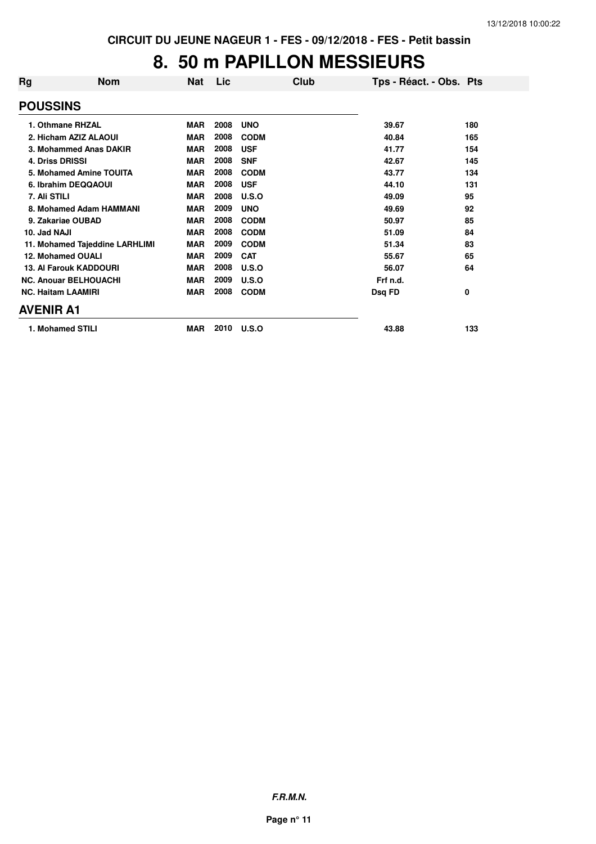## **8. 50 m PAPILLON MESSIEURS**

| Rg                     | <b>Nom</b>                     | <b>Nat</b> | Lic  | Club        | Tps - Réact. - Obs. Pts |     |
|------------------------|--------------------------------|------------|------|-------------|-------------------------|-----|
| <b>POUSSINS</b>        |                                |            |      |             |                         |     |
|                        | 1. Othmane RHZAL               | <b>MAR</b> | 2008 | <b>UNO</b>  | 39.67                   | 180 |
|                        | 2. Hicham AZIZ ALAOUI          | <b>MAR</b> | 2008 | <b>CODM</b> | 40.84                   | 165 |
|                        | 3. Mohammed Anas DAKIR         | <b>MAR</b> | 2008 | <b>USF</b>  | 41.77                   | 154 |
| <b>4. Driss DRISSI</b> |                                | <b>MAR</b> | 2008 | <b>SNF</b>  | 42.67                   | 145 |
|                        | 5. Mohamed Amine TOUITA        | <b>MAR</b> | 2008 | <b>CODM</b> | 43.77                   | 134 |
|                        | 6. Ibrahim DEQQAOUI            | <b>MAR</b> | 2008 | <b>USF</b>  | 44.10                   | 131 |
| 7. Ali STILI           |                                | <b>MAR</b> | 2008 | U.S.O       | 49.09                   | 95  |
|                        | 8. Mohamed Adam HAMMANI        | <b>MAR</b> | 2009 | <b>UNO</b>  | 49.69                   | 92  |
|                        | 9. Zakariae OUBAD              | <b>MAR</b> | 2008 | <b>CODM</b> | 50.97                   | 85  |
| 10. Jad NAJI           |                                | <b>MAR</b> | 2008 | <b>CODM</b> | 51.09                   | 84  |
|                        | 11. Mohamed Tajeddine LARHLIMI | <b>MAR</b> | 2009 | <b>CODM</b> | 51.34                   | 83  |
|                        | 12. Mohamed OUALI              | <b>MAR</b> | 2009 | <b>CAT</b>  | 55.67                   | 65  |
|                        | <b>13. Al Farouk KADDOURI</b>  | <b>MAR</b> | 2008 | U.S.O       | 56.07                   | 64  |
|                        | <b>NC. Anouar BELHOUACHI</b>   | <b>MAR</b> | 2009 | U.S.O       | Frf n.d.                |     |
|                        | <b>NC. Haitam LAAMIRI</b>      | <b>MAR</b> | 2008 | <b>CODM</b> | Dsq FD                  | 0   |
| <b>AVENIR A1</b>       |                                |            |      |             |                         |     |
|                        | 1. Mohamed STILI               | <b>MAR</b> | 2010 | U.S.O       | 43.88                   | 133 |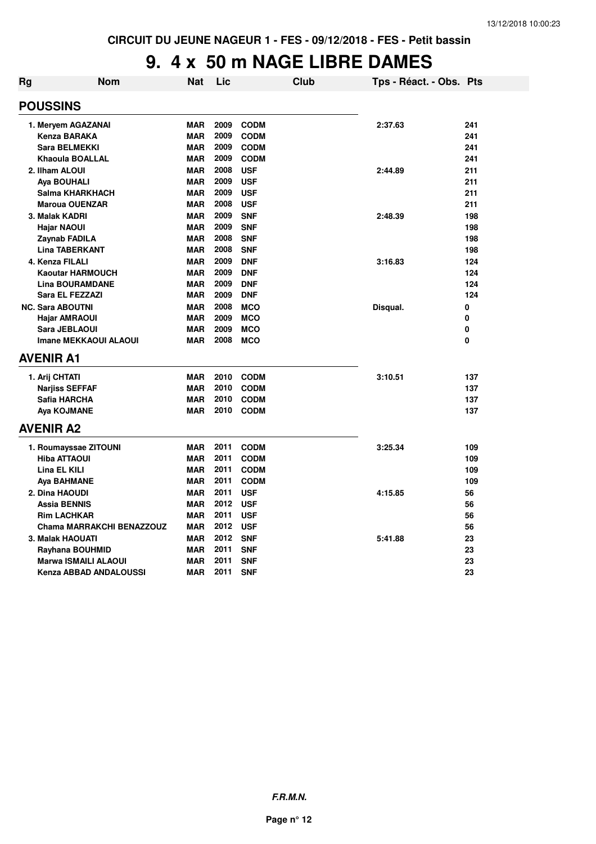#### **9. 4 x 50 m NAGE LIBRE DAMES**

| Rg | Nom                              | Nat        | Lic  |             | <b>Club</b> | Tps - Réact. - Obs. Pts |     |
|----|----------------------------------|------------|------|-------------|-------------|-------------------------|-----|
|    | <b>POUSSINS</b>                  |            |      |             |             |                         |     |
|    | 1. Meryem AGAZANAI               | <b>MAR</b> | 2009 | <b>CODM</b> |             | 2:37.63                 | 241 |
|    | <b>Kenza BARAKA</b>              | <b>MAR</b> | 2009 | <b>CODM</b> |             |                         | 241 |
|    | <b>Sara BELMEKKI</b>             | <b>MAR</b> | 2009 | <b>CODM</b> |             |                         | 241 |
|    | <b>Khaoula BOALLAL</b>           | <b>MAR</b> | 2009 | <b>CODM</b> |             |                         | 241 |
|    | 2. Ilham ALOUI                   | <b>MAR</b> | 2008 | <b>USF</b>  |             | 2:44.89                 | 211 |
|    | Aya BOUHALI                      | <b>MAR</b> | 2009 | <b>USF</b>  |             |                         | 211 |
|    | Salma KHARKHACH                  | <b>MAR</b> | 2009 | <b>USF</b>  |             |                         | 211 |
|    | <b>Maroua OUENZAR</b>            | <b>MAR</b> | 2008 | <b>USF</b>  |             |                         | 211 |
|    | 3. Malak KADRI                   | <b>MAR</b> | 2009 | <b>SNF</b>  |             | 2:48.39                 | 198 |
|    | <b>Hajar NAOUI</b>               | <b>MAR</b> | 2009 | <b>SNF</b>  |             |                         | 198 |
|    | Zaynab FADILA                    | <b>MAR</b> | 2008 | <b>SNF</b>  |             |                         | 198 |
|    | <b>Lina TABERKANT</b>            | <b>MAR</b> | 2008 | <b>SNF</b>  |             |                         | 198 |
|    | 4. Kenza FILALI                  | <b>MAR</b> | 2009 | <b>DNF</b>  |             | 3:16.83                 | 124 |
|    | <b>Kaoutar HARMOUCH</b>          | <b>MAR</b> | 2009 | <b>DNF</b>  |             |                         | 124 |
|    | <b>Lina BOURAMDANE</b>           | <b>MAR</b> | 2009 | <b>DNF</b>  |             |                         | 124 |
|    | Sara EL FEZZAZI                  | <b>MAR</b> | 2009 | <b>DNF</b>  |             |                         | 124 |
|    | <b>NC. Sara ABOUTNI</b>          | <b>MAR</b> | 2008 | <b>MCO</b>  |             | Disqual.                | 0   |
|    | <b>Hajar AMRAOUI</b>             | <b>MAR</b> | 2009 | <b>MCO</b>  |             |                         | 0   |
|    | Sara JEBLAOUI                    | <b>MAR</b> | 2009 | <b>MCO</b>  |             |                         | 0   |
|    | <b>Imane MEKKAOUI ALAOUI</b>     | <b>MAR</b> | 2008 | <b>MCO</b>  |             |                         | 0   |
|    | <b>AVENIR A1</b>                 |            |      |             |             |                         |     |
|    | 1. Arij CHTATI                   | <b>MAR</b> | 2010 | <b>CODM</b> |             | 3:10.51                 | 137 |
|    | <b>Narjiss SEFFAF</b>            | <b>MAR</b> | 2010 | <b>CODM</b> |             |                         | 137 |
|    | Safia HARCHA                     | <b>MAR</b> | 2010 | <b>CODM</b> |             |                         | 137 |
|    | Aya KOJMANE                      | <b>MAR</b> | 2010 | <b>CODM</b> |             |                         | 137 |
|    | <b>AVENIR A2</b>                 |            |      |             |             |                         |     |
|    | 1. Roumayssae ZITOUNI            | <b>MAR</b> | 2011 | <b>CODM</b> |             | 3:25.34                 | 109 |
|    | <b>Hiba ATTAOUI</b>              | <b>MAR</b> | 2011 | <b>CODM</b> |             |                         | 109 |
|    | <b>Lina EL KILI</b>              | <b>MAR</b> | 2011 | <b>CODM</b> |             |                         | 109 |
|    | Aya BAHMANE                      | <b>MAR</b> | 2011 | <b>CODM</b> |             |                         | 109 |
|    | 2. Dina HAOUDI                   | <b>MAR</b> | 2011 | <b>USF</b>  |             | 4:15.85                 | 56  |
|    | Assia BENNIS                     | <b>MAR</b> | 2012 | <b>USF</b>  |             |                         | 56  |
|    | <b>Rim LACHKAR</b>               | <b>MAR</b> | 2011 | <b>USF</b>  |             |                         | 56  |
|    | <b>Chama MARRAKCHI BENAZZOUZ</b> | <b>MAR</b> | 2012 | <b>USF</b>  |             |                         | 56  |
|    | 3. Malak HAOUATI                 | <b>MAR</b> | 2012 | <b>SNF</b>  |             | 5:41.88                 | 23  |
|    | <b>Rayhana BOUHMID</b>           | <b>MAR</b> | 2011 | <b>SNF</b>  |             |                         | 23  |
|    | <b>Marwa ISMAILI ALAOUI</b>      | <b>MAR</b> | 2011 | <b>SNF</b>  |             |                         | 23  |
|    | Kenza ABBAD ANDALOUSSI           | <b>MAR</b> | 2011 | <b>SNF</b>  |             |                         | 23  |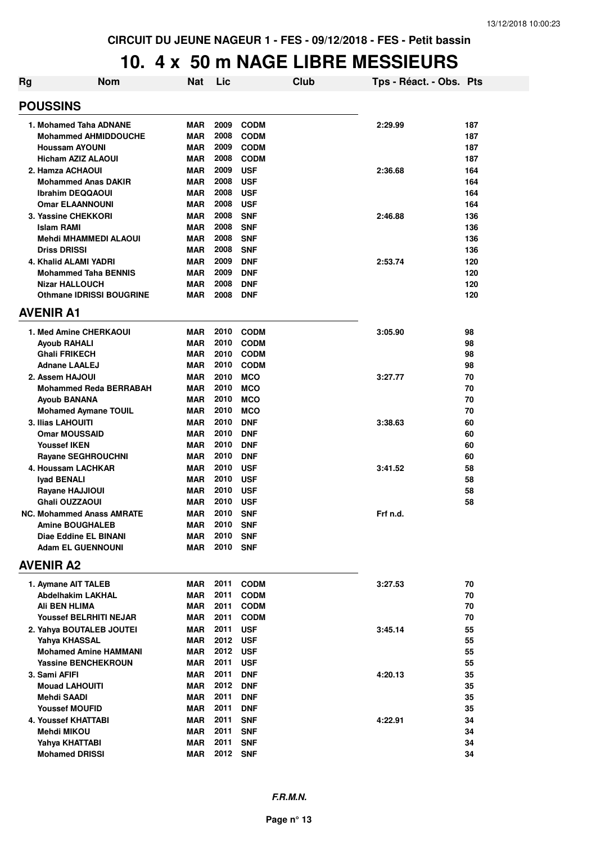#### **10. 4 x 50 m NAGE LIBRE MESSIEURS**

|                                  | .ט.                             | ↗ | JV         |          | <u>IIAWL</u> |      | <b>LIDITE MEVULUIU</b>  |     |
|----------------------------------|---------------------------------|---|------------|----------|--------------|------|-------------------------|-----|
| Rg                               | <b>Nom</b>                      |   | <b>Nat</b> | Lic      |              | Club | Tps - Réact. - Obs. Pts |     |
| <b>POUSSINS</b>                  |                                 |   |            |          |              |      |                         |     |
| 1. Mohamed Taha ADNANE           |                                 |   | <b>MAR</b> | 2009     | <b>CODM</b>  |      | 2:29.99                 | 187 |
|                                  | <b>Mohammed AHMIDDOUCHE</b>     |   | <b>MAR</b> | 2008     | <b>CODM</b>  |      |                         | 187 |
| <b>Houssam AYOUNI</b>            |                                 |   | <b>MAR</b> | 2009     | <b>CODM</b>  |      |                         | 187 |
| <b>Hicham AZIZ ALAOUI</b>        |                                 |   | <b>MAR</b> | 2008     | <b>CODM</b>  |      |                         | 187 |
| 2. Hamza ACHAOUI                 |                                 |   | <b>MAR</b> | 2009     | <b>USF</b>   |      | 2:36.68                 | 164 |
|                                  | <b>Mohammed Anas DAKIR</b>      |   | <b>MAR</b> | 2008     | <b>USF</b>   |      |                         | 164 |
| <b>Ibrahim DEQQAOUI</b>          |                                 |   | <b>MAR</b> | 2008     | <b>USF</b>   |      |                         | 164 |
| <b>Omar ELAANNOUNI</b>           |                                 |   | <b>MAR</b> | 2008     | <b>USF</b>   |      |                         | 164 |
| 3. Yassine CHEKKORI              |                                 |   | <b>MAR</b> | 2008     | <b>SNF</b>   |      | 2:46.88                 | 136 |
| Islam RAMI                       |                                 |   | <b>MAR</b> | 2008     | <b>SNF</b>   |      |                         | 136 |
|                                  | <b>Mehdi MHAMMEDI ALAOUI</b>    |   | <b>MAR</b> | 2008     | <b>SNF</b>   |      |                         | 136 |
| <b>Driss DRISSI</b>              |                                 |   | <b>MAR</b> | 2008     | <b>SNF</b>   |      |                         | 136 |
| 4. Khalid ALAMI YADRI            |                                 |   | <b>MAR</b> | 2009     | <b>DNF</b>   |      | 2:53.74                 | 120 |
|                                  | <b>Mohammed Taha BENNIS</b>     |   | <b>MAR</b> | 2009     | <b>DNF</b>   |      |                         | 120 |
| <b>Nizar HALLOUCH</b>            |                                 |   | <b>MAR</b> | 2008     | <b>DNF</b>   |      |                         | 120 |
|                                  | <b>Othmane IDRISSI BOUGRINE</b> |   | <b>MAR</b> | 2008     | <b>DNF</b>   |      |                         | 120 |
| <b>AVENIR A1</b>                 |                                 |   |            |          |              |      |                         |     |
| 1. Med Amine CHERKAOUI           |                                 |   | <b>MAR</b> | 2010     | <b>CODM</b>  |      | 3:05.90                 | 98  |
| Ayoub RAHALI                     |                                 |   | <b>MAR</b> | 2010     | <b>CODM</b>  |      |                         | 98  |
| <b>Ghali FRIKECH</b>             |                                 |   | <b>MAR</b> | 2010     | <b>CODM</b>  |      |                         | 98  |
| <b>Adnane LAALEJ</b>             |                                 |   | <b>MAR</b> | 2010     | <b>CODM</b>  |      |                         | 98  |
| 2. Assem HAJOUI                  |                                 |   | <b>MAR</b> | 2010     | <b>MCO</b>   |      | 3:27.77                 | 70  |
|                                  | <b>Mohammed Reda BERRABAH</b>   |   | <b>MAR</b> | 2010     | <b>MCO</b>   |      |                         | 70  |
| <b>Ayoub BANANA</b>              |                                 |   | <b>MAR</b> | 2010     | <b>MCO</b>   |      |                         | 70  |
|                                  | <b>Mohamed Aymane TOUIL</b>     |   | <b>MAR</b> | 2010     | <b>MCO</b>   |      |                         | 70  |
| 3. Ilias LAHOUITI                |                                 |   | <b>MAR</b> | 2010     | <b>DNF</b>   |      | 3:38.63                 | 60  |
| <b>Omar MOUSSAID</b>             |                                 |   | <b>MAR</b> | 2010     | <b>DNF</b>   |      |                         | 60  |
| <b>Youssef IKEN</b>              |                                 |   | <b>MAR</b> | 2010     | <b>DNF</b>   |      |                         | 60  |
| <b>Rayane SEGHROUCHNI</b>        |                                 |   | <b>MAR</b> | 2010     | <b>DNF</b>   |      |                         | 60  |
| 4. Houssam LACHKAR               |                                 |   | <b>MAR</b> | 2010     | <b>USF</b>   |      | 3:41.52                 | 58  |
| Iyad BENALI                      |                                 |   | <b>MAR</b> | 2010     | <b>USF</b>   |      |                         | 58  |
| Rayane HAJJIOUI                  |                                 |   | <b>MAR</b> | 2010     | <b>USF</b>   |      |                         | 58  |
| Ghali OUZZAOUI                   |                                 |   | <b>MAR</b> | 2010     | <b>USF</b>   |      |                         | 58  |
| <b>NC. Mohammed Anass AMRATE</b> |                                 |   | <b>MAR</b> | 2010 SNF |              |      | Frf n.d.                |     |
| <b>Amine BOUGHALEB</b>           |                                 |   | MAR        | 2010 SNF |              |      |                         |     |
| Diae Eddine EL BINANI            |                                 |   | <b>MAR</b> | 2010     | <b>SNF</b>   |      |                         |     |
| <b>Adam EL GUENNOUNI</b>         |                                 |   | MAR        | 2010 SNF |              |      |                         |     |
| <b>AVENIR A2</b>                 |                                 |   |            |          |              |      |                         |     |
| 1. Aymane AIT TALEB              |                                 |   | MAR        | 2011     | <b>CODM</b>  |      | 3:27.53                 | 70  |
| Abdelhakim LAKHAL                |                                 |   | <b>MAR</b> | 2011     | <b>CODM</b>  |      |                         | 70  |
| Ali BEN HLIMA                    |                                 |   | <b>MAR</b> |          | 2011 CODM    |      |                         | 70  |
|                                  | <b>Youssef BELRHITI NEJAR</b>   |   | <b>MAR</b> |          | 2011 CODM    |      |                         | 70  |
| 2. Yahya BOUTALEB JOUTEI         |                                 |   | <b>MAR</b> | 2011 USF |              |      | 3:45.14                 | 55  |
| Yahya KHASSAL                    |                                 |   | <b>MAR</b> | 2012 USF |              |      |                         | 55  |
|                                  | <b>Mohamed Amine HAMMANI</b>    |   | <b>MAR</b> | 2012 USF |              |      |                         | 55  |
|                                  | <b>Yassine BENCHEKROUN</b>      |   | <b>MAR</b> | 2011     | <b>USF</b>   |      |                         | 55  |
| 3. Sami AFIFI                    |                                 |   | <b>MAR</b> | 2011     | <b>DNF</b>   |      | 4:20.13                 | 35  |
| <b>Mouad LAHOUITI</b>            |                                 |   | MAR        | 2012     | <b>DNF</b>   |      |                         | 35  |
| Mehdi SAADI                      |                                 |   | <b>MAR</b> | 2011     | <b>DNF</b>   |      |                         | 35  |
| <b>Youssef MOUFID</b>            |                                 |   | <b>MAR</b> | 2011     | <b>DNF</b>   |      |                         | 35  |
| 4. Youssef KHATTABI              |                                 |   | <b>MAR</b> | 2011     | <b>SNF</b>   |      | 4:22.91                 | 34  |
| Mehdi MIKOU                      |                                 |   | <b>MAR</b> | 2011     | <b>SNF</b>   |      |                         | 34  |
| Yahya KHATTABI                   |                                 |   | MAR        | 2011     | <b>SNF</b>   |      |                         | 34  |
| <b>Mohamed DRISSI</b>            |                                 |   | <b>MAR</b> | 2012     | <b>SNF</b>   |      |                         | 34  |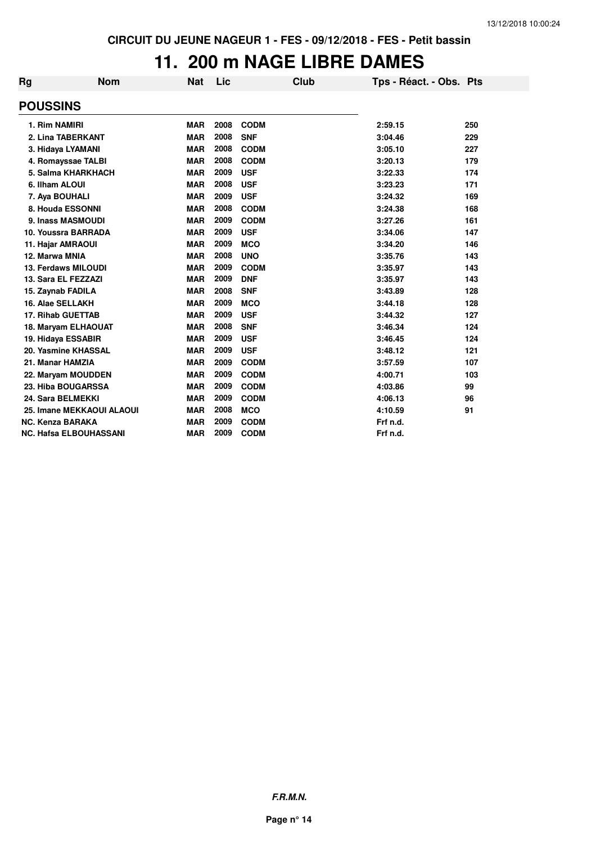#### **11. 200 m NAGE LIBRE DAMES**

| Rg                      | <b>Nom</b>                    | <b>Nat</b> | Lic  | <b>Club</b> | Tps - Réact. - Obs. Pts |     |
|-------------------------|-------------------------------|------------|------|-------------|-------------------------|-----|
| <b>POUSSINS</b>         |                               |            |      |             |                         |     |
| 1. Rim NAMIRI           |                               | <b>MAR</b> | 2008 | <b>CODM</b> | 2:59.15                 | 250 |
|                         | 2. Lina TABERKANT             | <b>MAR</b> | 2008 | <b>SNF</b>  | 3:04.46                 | 229 |
|                         | 3. Hidaya LYAMANI             | <b>MAR</b> | 2008 | <b>CODM</b> | 3:05.10                 | 227 |
|                         | 4. Romayssae TALBI            | <b>MAR</b> | 2008 | <b>CODM</b> | 3:20.13                 | 179 |
|                         | 5. Salma KHARKHACH            | <b>MAR</b> | 2009 | <b>USF</b>  | 3:22.33                 | 174 |
| 6. Ilham ALOUI          |                               | <b>MAR</b> | 2008 | <b>USF</b>  | 3:23.23                 | 171 |
| 7. Aya BOUHALI          |                               | <b>MAR</b> | 2009 | <b>USF</b>  | 3:24.32                 | 169 |
|                         | 8. Houda ESSONNI              | <b>MAR</b> | 2008 | <b>CODM</b> | 3:24.38                 | 168 |
|                         | 9. Inass MASMOUDI             | <b>MAR</b> | 2009 | <b>CODM</b> | 3:27.26                 | 161 |
|                         | 10. Youssra BARRADA           | <b>MAR</b> | 2009 | <b>USF</b>  | 3:34.06                 | 147 |
| 11. Hajar AMRAOUI       |                               | <b>MAR</b> | 2009 | <b>MCO</b>  | 3:34.20                 | 146 |
| 12. Marwa MNIA          |                               | <b>MAR</b> | 2008 | <b>UNO</b>  | 3:35.76                 | 143 |
|                         | <b>13. Ferdaws MILOUDI</b>    | <b>MAR</b> | 2009 | <b>CODM</b> | 3:35.97                 | 143 |
|                         | 13. Sara EL FEZZAZI           | <b>MAR</b> | 2009 | <b>DNF</b>  | 3:35.97                 | 143 |
| 15. Zaynab FADILA       |                               | <b>MAR</b> | 2008 | <b>SNF</b>  | 3:43.89                 | 128 |
| 16. Alae SELLAKH        |                               | <b>MAR</b> | 2009 | <b>MCO</b>  | 3:44.18                 | 128 |
|                         | <b>17. Rihab GUETTAB</b>      | <b>MAR</b> | 2009 | <b>USF</b>  | 3:44.32                 | 127 |
|                         | 18. Maryam ELHAOUAT           | <b>MAR</b> | 2008 | <b>SNF</b>  | 3:46.34                 | 124 |
|                         | 19. Hidaya ESSABIR            | <b>MAR</b> | 2009 | <b>USF</b>  | 3:46.45                 | 124 |
|                         | 20. Yasmine KHASSAL           | <b>MAR</b> | 2009 | <b>USF</b>  | 3:48.12                 | 121 |
| 21. Manar HAMZIA        |                               | <b>MAR</b> | 2009 | <b>CODM</b> | 3:57.59                 | 107 |
|                         | 22. Maryam MOUDDEN            | <b>MAR</b> | 2009 | <b>CODM</b> | 4:00.71                 | 103 |
|                         | 23. Hiba BOUGARSSA            | <b>MAR</b> | 2009 | <b>CODM</b> | 4:03.86                 | 99  |
|                         | 24. Sara BELMEKKI             | <b>MAR</b> | 2009 | <b>CODM</b> | 4:06.13                 | 96  |
|                         | 25. Imane MEKKAOUI ALAOUI     | <b>MAR</b> | 2008 | <b>MCO</b>  | 4:10.59                 | 91  |
| <b>NC. Kenza BARAKA</b> |                               | <b>MAR</b> | 2009 | <b>CODM</b> | Frf n.d.                |     |
|                         | <b>NC. Hafsa ELBOUHASSANI</b> | <b>MAR</b> | 2009 | <b>CODM</b> | Frf n.d.                |     |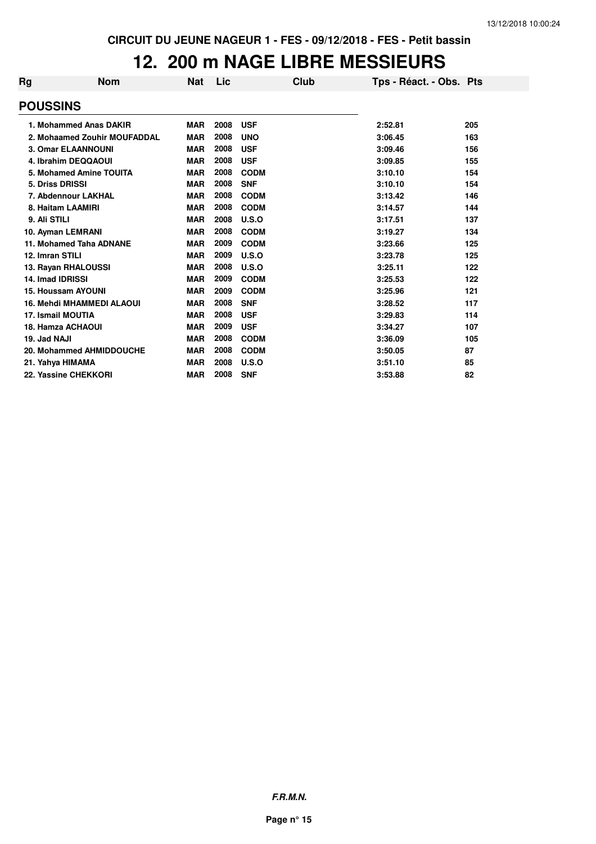## **12. 200 m NAGE LIBRE MESSIEURS**

| Rg                     | <b>Nom</b>                       | Nat        | Lic  | Club        | Tps - Réact. - Obs. Pts |     |
|------------------------|----------------------------------|------------|------|-------------|-------------------------|-----|
| <b>POUSSINS</b>        |                                  |            |      |             |                         |     |
|                        | 1. Mohammed Anas DAKIR           | <b>MAR</b> | 2008 | <b>USF</b>  | 2:52.81                 | 205 |
|                        | 2. Mohaamed Zouhir MOUFADDAL     | <b>MAR</b> | 2008 | <b>UNO</b>  | 3:06.45                 | 163 |
|                        | <b>3. Omar ELAANNOUNI</b>        | <b>MAR</b> | 2008 | <b>USF</b>  | 3:09.46                 | 156 |
|                        | 4. Ibrahim DEQQAOUI              | <b>MAR</b> | 2008 | <b>USF</b>  | 3:09.85                 | 155 |
|                        | 5. Mohamed Amine TOUITA          | <b>MAR</b> | 2008 | <b>CODM</b> | 3:10.10                 | 154 |
| <b>5. Driss DRISSI</b> |                                  | <b>MAR</b> | 2008 | <b>SNF</b>  | 3:10.10                 | 154 |
|                        | 7. Abdennour LAKHAL              | <b>MAR</b> | 2008 | <b>CODM</b> | 3:13.42                 | 146 |
|                        | 8. Haitam LAAMIRI                | <b>MAR</b> | 2008 | <b>CODM</b> | 3:14.57                 | 144 |
| 9. Ali STILI           |                                  | <b>MAR</b> | 2008 | U.S.O       | 3:17.51                 | 137 |
|                        | 10. Ayman LEMRANI                | <b>MAR</b> | 2008 | <b>CODM</b> | 3:19.27                 | 134 |
|                        | 11. Mohamed Taha ADNANE          | <b>MAR</b> | 2009 | <b>CODM</b> | 3:23.66                 | 125 |
| 12. Imran STILI        |                                  | <b>MAR</b> | 2009 | U.S.O       | 3:23.78                 | 125 |
|                        | 13. Rayan RHALOUSSI              | <b>MAR</b> | 2008 | U.S.O       | 3:25.11                 | 122 |
| 14. Imad IDRISSI       |                                  | <b>MAR</b> | 2009 | <b>CODM</b> | 3:25.53                 | 122 |
|                        | 15. Houssam AYOUNI               | <b>MAR</b> | 2009 | <b>CODM</b> | 3:25.96                 | 121 |
|                        | <b>16. Mehdi MHAMMEDI ALAOUI</b> | <b>MAR</b> | 2008 | <b>SNF</b>  | 3:28.52                 | 117 |
|                        | 17. Ismail MOUTIA                | <b>MAR</b> | 2008 | <b>USF</b>  | 3:29.83                 | 114 |
|                        | <b>18. Hamza ACHAOUI</b>         | <b>MAR</b> | 2009 | <b>USF</b>  | 3:34.27                 | 107 |
| 19. Jad NAJI           |                                  | <b>MAR</b> | 2008 | <b>CODM</b> | 3:36.09                 | 105 |
|                        | 20. Mohammed AHMIDDOUCHE         | <b>MAR</b> | 2008 | <b>CODM</b> | 3:50.05                 | 87  |
|                        | 21. Yahya HIMAMA                 | <b>MAR</b> | 2008 | U.S.O       | 3:51.10                 | 85  |
|                        | 22. Yassine CHEKKORI             | <b>MAR</b> | 2008 | <b>SNF</b>  | 3:53.88                 | 82  |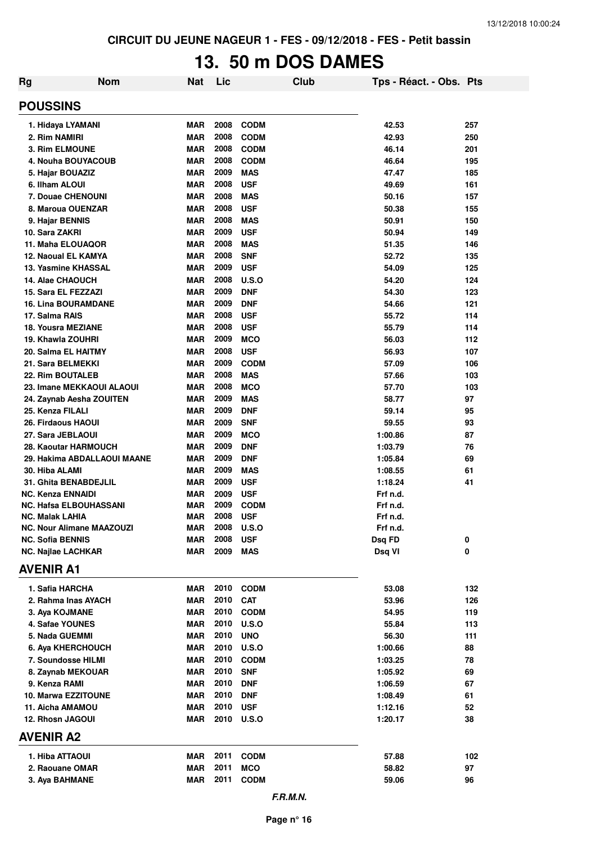# **13. 50 m DOS DAMES**

| <b>Rg</b>                                     | <b>Nom</b>                       | <b>Nat</b>               | Lic          |                          | <b>Club</b> | Tps - Réact. - Obs. Pts |            |
|-----------------------------------------------|----------------------------------|--------------------------|--------------|--------------------------|-------------|-------------------------|------------|
| <b>POUSSINS</b>                               |                                  |                          |              |                          |             |                         |            |
| 1. Hidaya LYAMANI                             |                                  | <b>MAR</b>               | 2008         | <b>CODM</b>              |             | 42.53                   | 257        |
| 2. Rim NAMIRI                                 |                                  | <b>MAR</b>               | 2008         | <b>CODM</b>              |             | 42.93                   | 250        |
| <b>3. Rim ELMOUNE</b>                         |                                  | <b>MAR</b>               | 2008         | <b>CODM</b>              |             | 46.14                   | 201        |
| 4. Nouha BOUYACOUB                            |                                  | <b>MAR</b>               | 2008         | <b>CODM</b>              |             | 46.64                   | 195        |
| 5. Hajar BOUAZIZ                              |                                  | <b>MAR</b>               | 2009         | <b>MAS</b>               |             | 47.47                   | 185        |
| 6. Ilham ALOUI                                |                                  | <b>MAR</b>               | 2008         | <b>USF</b>               |             | 49.69                   | 161        |
| 7. Douae CHENOUNI                             |                                  | <b>MAR</b>               | 2008         | <b>MAS</b>               |             | 50.16                   | 157        |
| 8. Maroua OUENZAR                             |                                  | <b>MAR</b>               | 2008         | <b>USF</b>               |             | 50.38                   | 155        |
| 9. Hajar BENNIS                               |                                  | <b>MAR</b>               | 2008         | <b>MAS</b>               |             | 50.91                   | 150        |
| 10. Sara ZAKRI                                |                                  | <b>MAR</b>               | 2009         | <b>USF</b>               |             | 50.94                   | 149        |
| 11. Maha ELOUAQOR                             |                                  | <b>MAR</b>               | 2008         | <b>MAS</b>               |             | 51.35                   | 146        |
| 12. Naoual EL KAMYA                           |                                  | <b>MAR</b>               | 2008         | <b>SNF</b>               |             | 52.72                   | 135        |
| 13. Yasmine KHASSAL                           |                                  | <b>MAR</b>               | 2009         | <b>USF</b>               |             | 54.09                   | 125        |
| 14. Alae CHAOUCH                              |                                  | <b>MAR</b>               | 2008         | U.S.O                    |             | 54.20                   | 124        |
| 15. Sara EL FEZZAZI                           |                                  | <b>MAR</b>               | 2009<br>2009 | <b>DNF</b>               |             | 54.30                   | 123        |
| <b>16. Lina BOURAMDANE</b><br>17. Salma RAIS  |                                  | <b>MAR</b><br><b>MAR</b> | 2008         | <b>DNF</b><br><b>USF</b> |             | 54.66<br>55.72          | 121<br>114 |
| <b>18. Yousra MEZIANE</b>                     |                                  | <b>MAR</b>               | 2008         | <b>USF</b>               |             | 55.79                   | 114        |
| 19. Khawla ZOUHRI                             |                                  | <b>MAR</b>               | 2009         | <b>MCO</b>               |             | 56.03                   | 112        |
| 20. Salma EL HAITMY                           |                                  | <b>MAR</b>               | 2008         | <b>USF</b>               |             | 56.93                   | 107        |
| 21. Sara BELMEKKI                             |                                  | <b>MAR</b>               | 2009         | <b>CODM</b>              |             | 57.09                   | 106        |
| 22. Rim BOUTALEB                              |                                  | <b>MAR</b>               | 2008         | <b>MAS</b>               |             | 57.66                   | 103        |
|                                               | 23. Imane MEKKAOUI ALAOUI        | <b>MAR</b>               | 2008         | <b>MCO</b>               |             | 57.70                   | 103        |
|                                               | 24. Zaynab Aesha ZOUITEN         | <b>MAR</b>               | 2009         | <b>MAS</b>               |             | 58.77                   | 97         |
| 25. Kenza FILALI                              |                                  | <b>MAR</b>               | 2009         | <b>DNF</b>               |             | 59.14                   | 95         |
| 26. Firdaous HAOUI                            |                                  | <b>MAR</b>               | 2009         | <b>SNF</b>               |             | 59.55                   | 93         |
| 27. Sara JEBLAOUI                             |                                  | <b>MAR</b>               | 2009         | <b>MCO</b>               |             | 1:00.86                 | 87         |
| 28. Kaoutar HARMOUCH                          |                                  | <b>MAR</b>               | 2009         | <b>DNF</b>               |             | 1:03.79                 | 76         |
|                                               | 29. Hakima ABDALLAOUI MAANE      | <b>MAR</b>               | 2009         | <b>DNF</b>               |             | 1:05.84                 | 69         |
| 30. Hiba ALAMI                                |                                  | <b>MAR</b>               | 2009         | <b>MAS</b>               |             | 1:08.55                 | 61         |
| 31. Ghita BENABDEJLIL                         |                                  | <b>MAR</b>               | 2009         | <b>USF</b>               |             | 1:18.24                 | 41         |
| <b>NC. Kenza ENNAIDI</b>                      |                                  | MAR                      | 2009         | <b>USF</b>               |             | Frf n.d.                |            |
| NC. Hafsa ELBOUHASSANI                        |                                  | <b>MAR</b>               | 2009         | <b>CODM</b>              |             | Frf n.d.                |            |
| <b>NC. Malak LAHIA</b>                        |                                  | <b>MAR</b>               | 2008         | <b>USF</b>               |             | Frf n.d.                |            |
|                                               | <b>NC. Nour Alimane MAAZOUZI</b> | <b>MAR</b>               | 2008         | <b>U.S.O</b>             |             | Frf n.d.                |            |
| <b>NC. Sofia BENNIS</b>                       |                                  | <b>MAR</b>               | 2008         | <b>USF</b>               |             | Dsq FD                  | 0          |
| <b>NC. Najlae LACHKAR</b><br><b>AVENIR A1</b> |                                  | MAR                      | 2009         | MAS                      |             | Dsq VI                  | 0          |
|                                               |                                  |                          |              |                          |             |                         |            |
| 1. Safia HARCHA                               |                                  | <b>MAR</b>               | 2010         | <b>CODM</b>              |             | 53.08                   | 132        |
| 2. Rahma Inas AYACH                           |                                  | <b>MAR</b>               | 2010         | <b>CAT</b>               |             | 53.96                   | 126        |
| 3. Aya KOJMANE                                |                                  | <b>MAR</b>               | 2010         | <b>CODM</b>              |             | 54.95                   | 119        |
| 4. Safae YOUNES                               |                                  | <b>MAR</b>               | 2010         | <b>U.S.O</b>             |             | 55.84                   | 113        |
| 5. Nada GUEMMI                                |                                  | <b>MAR</b>               | 2010         | <b>UNO</b>               |             | 56.30                   | 111        |
| 6. Aya KHERCHOUCH                             |                                  | MAR                      | 2010         | <b>U.S.O</b>             |             | 1:00.66                 | 88         |
| 7. Soundosse HILMI                            |                                  | <b>MAR</b>               | 2010         | <b>CODM</b>              |             | 1:03.25                 | 78         |
| 8. Zaynab MEKOUAR                             |                                  | <b>MAR</b>               | 2010         | <b>SNF</b>               |             | 1:05.92                 | 69         |
| 9. Kenza RAMI                                 |                                  | MAR                      | 2010         | <b>DNF</b>               |             | 1:06.59                 | 67         |
| 10. Marwa EZZITOUNE                           |                                  | MAR                      | 2010         | <b>DNF</b>               |             | 1:08.49                 | 61         |
| 11. Aicha AMAMOU                              |                                  | MAR                      | 2010<br>2010 | <b>USF</b>               |             | 1:12.16                 | 52         |
| 12. Rhosn JAGOUI<br><b>AVENIR A2</b>          |                                  | MAR                      |              | U.S.O                    |             | 1:20.17                 | 38         |
|                                               |                                  |                          |              |                          |             |                         |            |
| 1. Hiba ATTAOUI                               |                                  | MAR                      | 2011         | <b>CODM</b>              |             | 57.88                   | 102        |
| 2. Raouane OMAR                               |                                  | <b>MAR</b>               | 2011         | <b>MCO</b>               |             | 58.82                   | 97         |
| 3. Aya BAHMANE                                |                                  | MAR                      | 2011         | <b>CODM</b>              |             | 59.06                   | 96         |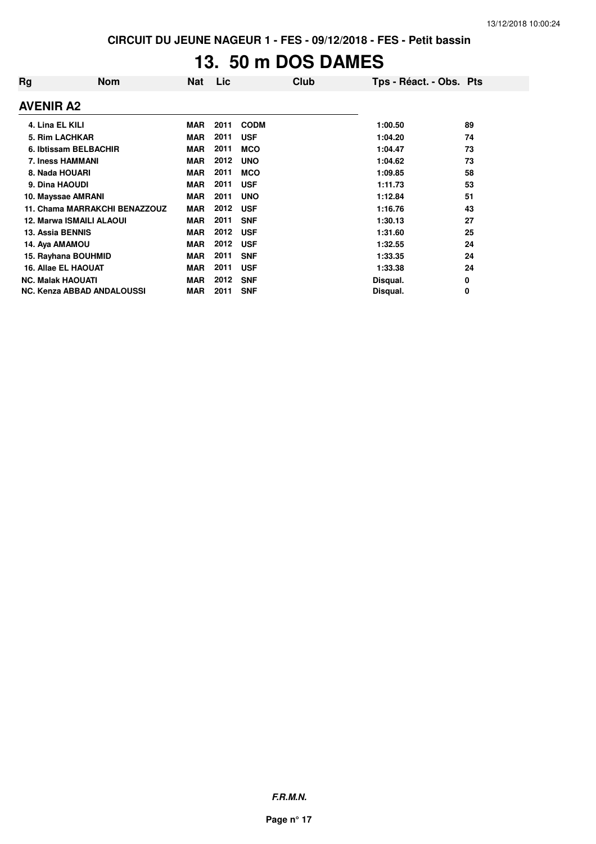## **13. 50 m DOS DAMES**

| Rg               | <b>Nom</b>                    | <b>Nat</b> | Lic  | Club        | Tps - Réact. - Obs. Pts |    |
|------------------|-------------------------------|------------|------|-------------|-------------------------|----|
| <b>AVENIR A2</b> |                               |            |      |             |                         |    |
| 4. Lina EL KILI  |                               | <b>MAR</b> | 2011 | <b>CODM</b> | 1:00.50                 | 89 |
|                  | 5. Rim LACHKAR                | <b>MAR</b> | 2011 | <b>USF</b>  | 1:04.20                 | 74 |
|                  | 6. Ibtissam BELBACHIR         | <b>MAR</b> | 2011 | <b>MCO</b>  | 1:04.47                 | 73 |
|                  | <b>7. Iness HAMMANI</b>       | <b>MAR</b> | 2012 | <b>UNO</b>  | 1:04.62                 | 73 |
|                  | 8. Nada HOUARI                | <b>MAR</b> | 2011 | <b>MCO</b>  | 1:09.85                 | 58 |
| 9. Dina HAOUDI   |                               | <b>MAR</b> | 2011 | <b>USF</b>  | 1:11.73                 | 53 |
|                  | 10. Mayssae AMRANI            | <b>MAR</b> | 2011 | <b>UNO</b>  | 1:12.84                 | 51 |
|                  | 11. Chama MARRAKCHI BENAZZOUZ | <b>MAR</b> | 2012 | <b>USF</b>  | 1:16.76                 | 43 |
|                  | 12. Marwa ISMAILI ALAOUI      | <b>MAR</b> | 2011 | <b>SNF</b>  | 1:30.13                 | 27 |
| 13. Assia BENNIS |                               | <b>MAR</b> | 2012 | <b>USF</b>  | 1:31.60                 | 25 |
| 14. Aya AMAMOU   |                               | <b>MAR</b> | 2012 | <b>USF</b>  | 1:32.55                 | 24 |
|                  | 15. Rayhana BOUHMID           | <b>MAR</b> | 2011 | <b>SNF</b>  | 1:33.35                 | 24 |
|                  | 16. Allae EL HAOUAT           | <b>MAR</b> | 2011 | <b>USF</b>  | 1:33.38                 | 24 |
|                  | <b>NC. Malak HAOUATI</b>      | <b>MAR</b> | 2012 | <b>SNF</b>  | Disqual.                | 0  |
|                  | NC. Kenza ABBAD ANDALOUSSI    | <b>MAR</b> | 2011 | <b>SNF</b>  | Disqual.                | 0  |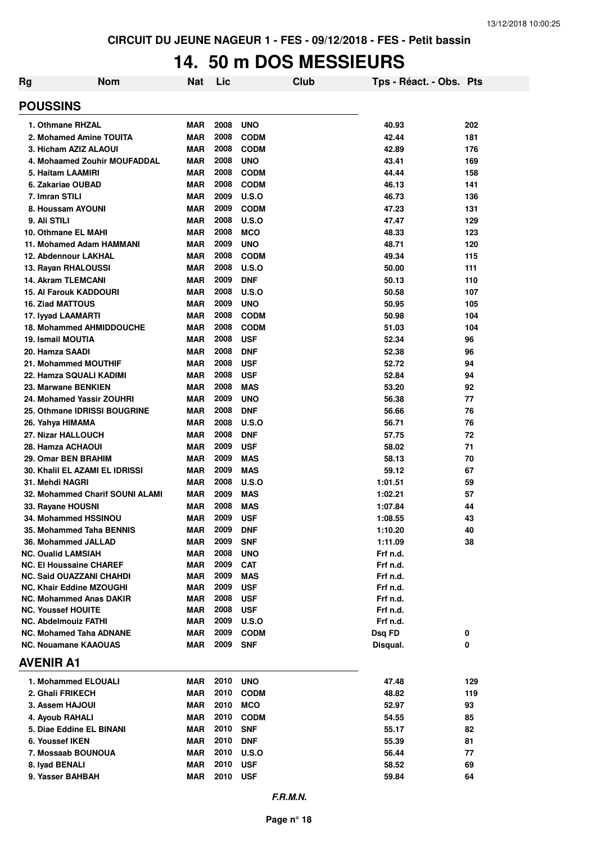#### **14. 50 m DOS MESSIEURS**

| Rg | <b>Nom</b>                                                         | <b>Nat</b>               | Lic          |                          | Club | Tps - Réact. - Obs. Pts |     |
|----|--------------------------------------------------------------------|--------------------------|--------------|--------------------------|------|-------------------------|-----|
|    | <b>POUSSINS</b>                                                    |                          |              |                          |      |                         |     |
|    | 1. Othmane RHZAL                                                   | <b>MAR</b>               | 2008         | <b>UNO</b>               |      | 40.93                   | 202 |
|    | 2. Mohamed Amine TOUITA                                            | <b>MAR</b>               | 2008         | <b>CODM</b>              |      | 42.44                   | 181 |
|    | 3. Hicham AZIZ ALAOUI                                              | <b>MAR</b>               | 2008         | <b>CODM</b>              |      | 42.89                   | 176 |
|    | 4. Mohaamed Zouhir MOUFADDAL                                       | <b>MAR</b>               | 2008         | <b>UNO</b>               |      | 43.41                   | 169 |
|    | 5. Haitam LAAMIRI                                                  | <b>MAR</b>               | 2008         | <b>CODM</b>              |      | 44.44                   | 158 |
|    | 6. Zakariae OUBAD                                                  | <b>MAR</b>               | 2008         | <b>CODM</b>              |      | 46.13                   | 141 |
|    | 7. Imran STILI                                                     | <b>MAR</b>               | 2009         | U.S.O                    |      | 46.73                   | 136 |
|    | 8. Houssam AYOUNI                                                  | <b>MAR</b>               | 2009         | <b>CODM</b>              |      | 47.23                   | 131 |
|    | 9. Ali STILI                                                       | <b>MAR</b>               | 2008         | U.S.O                    |      | 47.47                   | 129 |
|    | 10. Othmane EL MAHI                                                | <b>MAR</b>               | 2008         | <b>MCO</b>               |      | 48.33                   | 123 |
|    | 11. Mohamed Adam HAMMANI                                           | <b>MAR</b>               | 2009         | <b>UNO</b>               |      | 48.71                   | 120 |
|    | 12. Abdennour LAKHAL                                               | <b>MAR</b>               | 2008         | <b>CODM</b>              |      | 49.34                   | 115 |
|    | 13. Rayan RHALOUSSI                                                | <b>MAR</b>               | 2008         | U.S.O                    |      | 50.00                   | 111 |
|    | <b>14. Akram TLEMCANI</b>                                          | <b>MAR</b>               | 2009         | <b>DNF</b>               |      | 50.13                   | 110 |
|    | <b>15. Al Farouk KADDOURI</b>                                      | <b>MAR</b>               | 2008         | U.S.O                    |      | 50.58                   | 107 |
|    | <b>16. Ziad MATTOUS</b>                                            | <b>MAR</b>               | 2009         | <b>UNO</b>               |      | 50.95                   | 105 |
|    | 17. Iyyad LAAMARTI                                                 | <b>MAR</b>               | 2008         | <b>CODM</b>              |      | 50.98                   | 104 |
|    | <b>18. Mohammed AHMIDDOUCHE</b>                                    | <b>MAR</b>               | 2008         | <b>CODM</b>              |      | 51.03                   | 104 |
|    | 19. Ismail MOUTIA                                                  | <b>MAR</b>               | 2008         | <b>USF</b>               |      | 52.34                   | 96  |
|    | 20. Hamza SAADI                                                    | <b>MAR</b>               | 2008         | <b>DNF</b>               |      | 52.38                   | 96  |
|    | 21. Mohammed MOUTHIF                                               | <b>MAR</b>               | 2008         | <b>USF</b>               |      | 52.72                   | 94  |
|    | 22. Hamza SQUALI KADIMI                                            | <b>MAR</b>               | 2008         | <b>USF</b>               |      | 52.84                   | 94  |
|    | 23. Marwane BENKIEN                                                | <b>MAR</b>               | 2008         | <b>MAS</b>               |      | 53.20                   | 92  |
|    | 24. Mohamed Yassir ZOUHRI                                          | <b>MAR</b>               | 2009         | <b>UNO</b>               |      | 56.38                   | 77  |
|    | 25. Othmane IDRISSI BOUGRINE                                       | <b>MAR</b>               | 2008         | <b>DNF</b>               |      | 56.66                   | 76  |
|    | 26. Yahya HIMAMA                                                   | <b>MAR</b>               | 2008         | U.S.O                    |      | 56.71                   | 76  |
|    | 27. Nizar HALLOUCH                                                 | <b>MAR</b>               | 2008         | <b>DNF</b>               |      | 57.75                   | 72  |
|    | 28. Hamza ACHAOUI                                                  | <b>MAR</b>               | 2009         | <b>USF</b>               |      | 58.02                   | 71  |
|    | 29. Omar BEN BRAHIM                                                | <b>MAR</b>               | 2009         | <b>MAS</b>               |      | 58.13                   | 70  |
|    | 30. Khalil EL AZAMI EL IDRISSI                                     | <b>MAR</b>               | 2009         | <b>MAS</b>               |      | 59.12                   | 67  |
|    | 31. Mehdi NAGRI                                                    | <b>MAR</b>               | 2008         | U.S.O                    |      | 1:01.51                 | 59  |
|    | 32. Mohammed Charif SOUNI ALAMI                                    | <b>MAR</b>               | 2009         | <b>MAS</b>               |      | 1:02.21                 | 57  |
|    | 33. Rayane HOUSNI                                                  | <b>MAR</b>               | 2008         | <b>MAS</b>               |      | 1:07.84                 | 44  |
|    | 34. Mohammed HSSINOU                                               | <b>MAR</b>               | 2009         | <b>USF</b>               |      | 1:08.55                 | 43  |
|    | 35. Mohammed Taha BENNIS                                           | MAR                      | 2009         | <b>DNF</b>               |      | 1:10.20                 | 40  |
|    | 36. Mohammed JALLAD                                                | <b>MAR</b>               | 2009         | <b>SNF</b>               |      | 1:11.09                 | 38  |
|    | <b>NC. Oualid LAMSIAH</b>                                          | <b>MAR</b>               | 2008         | <b>UNO</b>               |      | Frf n.d.                |     |
|    | NC. El Houssaine CHAREF                                            | <b>MAR</b><br><b>MAR</b> | 2009<br>2009 | <b>CAT</b><br><b>MAS</b> |      | Frf n.d.                |     |
|    | <b>NC. Said OUAZZANI CHAHDI</b><br><b>NC. Khair Eddine MZOUGHI</b> | MAR                      | 2009         | <b>USF</b>               |      | Frf n.d.<br>Frf n.d.    |     |
|    | <b>NC. Mohammed Anas DAKIR</b>                                     | <b>MAR</b>               | 2008         | <b>USF</b>               |      | Frf n.d.                |     |
|    | <b>NC. Youssef HOUITE</b>                                          | MAR                      | 2008         | <b>USF</b>               |      | Frf n.d.                |     |
|    | <b>NC. Abdelmouiz FATHI</b>                                        | MAR                      | 2009         | <b>U.S.O</b>             |      | Frf n.d.                |     |
|    | NC. Mohamed Taha ADNANE                                            | <b>MAR</b>               | 2009         | <b>CODM</b>              |      | Dsq FD                  | 0   |
|    | <b>NC. Nouamane KAAOUAS</b>                                        | MAR                      | 2009         | <b>SNF</b>               |      | Disqual.                | 0   |
|    | <b>AVENIR A1</b>                                                   |                          |              |                          |      |                         |     |
|    | 1. Mohammed ELOUALI                                                | MAR                      | 2010         | <b>UNO</b>               |      | 47.48                   | 129 |
|    | 2. Ghali FRIKECH                                                   | MAR                      | 2010         | <b>CODM</b>              |      | 48.82                   | 119 |
|    | 3. Assem HAJOUI                                                    | MAR                      | 2010         | <b>MCO</b>               |      | 52.97                   | 93  |
|    | 4. Ayoub RAHALI                                                    | <b>MAR</b>               | 2010         | <b>CODM</b>              |      | 54.55                   | 85  |
|    | 5. Diae Eddine EL BINANI                                           | MAR                      | 2010         | <b>SNF</b>               |      | 55.17                   | 82  |
|    | 6. Youssef IKEN                                                    | <b>MAR</b>               | 2010         | <b>DNF</b>               |      | 55.39                   | 81  |
|    | 7. Mossaab BOUNOUA                                                 | MAR                      | 2010         | <b>U.S.O</b>             |      | 56.44                   | 77  |
|    | 8. Iyad BENALI                                                     | MAR                      | 2010         | <b>USF</b>               |      | 58.52                   | 69  |
|    | 9. Yasser BAHBAH                                                   | MAR                      | 2010         | <b>USF</b>               |      | 59.84                   | 64  |
|    |                                                                    |                          |              |                          |      |                         |     |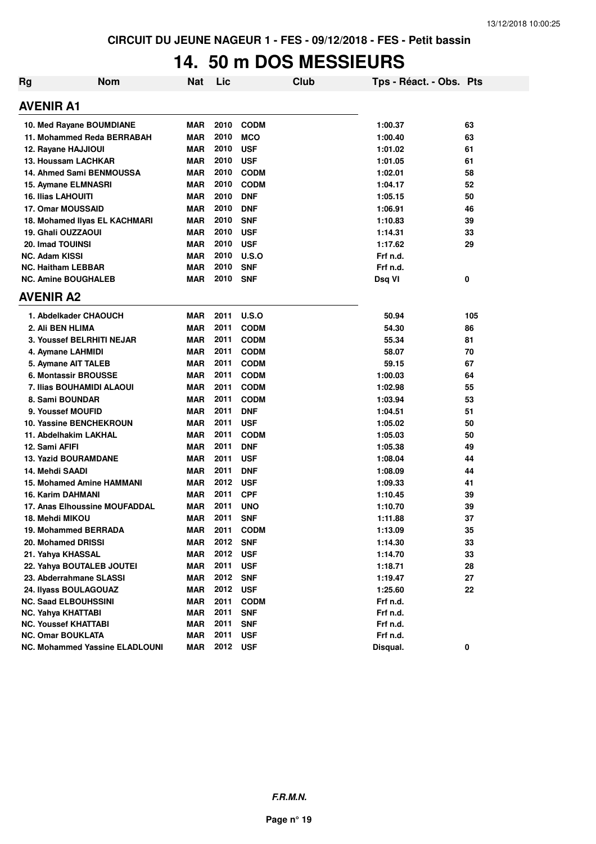#### **14. 50 m DOS MESSIEURS**

| <b>Rg</b> | <b>Nom</b>                            | <b>Nat</b> | Lic  |             | Club | Tps - Réact. - Obs. Pts |     |
|-----------|---------------------------------------|------------|------|-------------|------|-------------------------|-----|
|           | <b>AVENIR A1</b>                      |            |      |             |      |                         |     |
|           | 10. Med Rayane BOUMDIANE              | MAR        | 2010 | <b>CODM</b> |      | 1:00.37                 | 63  |
|           | 11. Mohammed Reda BERRABAH            | <b>MAR</b> | 2010 | <b>MCO</b>  |      | 1:00.40                 | 63  |
|           | 12. Rayane HAJJIOUI                   | <b>MAR</b> | 2010 | <b>USF</b>  |      | 1:01.02                 | 61  |
|           | 13. Houssam LACHKAR                   | MAR        | 2010 | <b>USF</b>  |      | 1:01.05                 | 61  |
|           | 14. Ahmed Sami BENMOUSSA              | MAR        | 2010 | <b>CODM</b> |      | 1:02.01                 | 58  |
|           | 15. Aymane ELMNASRI                   | <b>MAR</b> | 2010 | <b>CODM</b> |      | 1:04.17                 | 52  |
|           | <b>16. Ilias LAHOUITI</b>             | MAR        | 2010 | <b>DNF</b>  |      | 1:05.15                 | 50  |
|           | 17. Omar MOUSSAID                     | <b>MAR</b> | 2010 | <b>DNF</b>  |      | 1:06.91                 | 46  |
|           | 18. Mohamed Ilyas EL KACHMARI         | <b>MAR</b> | 2010 | <b>SNF</b>  |      | 1:10.83                 | 39  |
|           | 19. Ghali OUZZAOUI                    | MAR        | 2010 | <b>USF</b>  |      | 1:14.31                 | 33  |
|           | <b>20. Imad TOUINSI</b>               | <b>MAR</b> | 2010 | <b>USF</b>  |      | 1:17.62                 | 29  |
|           | <b>NC. Adam KISSI</b>                 | <b>MAR</b> | 2010 | U.S.O       |      | Frf n.d.                |     |
|           | <b>NC. Haitham LEBBAR</b>             | <b>MAR</b> | 2010 | <b>SNF</b>  |      | Frf n.d.                |     |
|           | <b>NC. Amine BOUGHALEB</b>            | <b>MAR</b> | 2010 | <b>SNF</b>  |      | Dsq VI                  | 0   |
|           | <b>AVENIR A2</b>                      |            |      |             |      |                         |     |
|           | 1. Abdelkader CHAOUCH                 | <b>MAR</b> | 2011 | U.S.O       |      | 50.94                   | 105 |
|           | 2. Ali BEN HLIMA                      | <b>MAR</b> | 2011 | <b>CODM</b> |      | 54.30                   | 86  |
|           | <b>3. Youssef BELRHITI NEJAR</b>      | <b>MAR</b> | 2011 | <b>CODM</b> |      | 55.34                   | 81  |
|           | 4. Aymane LAHMIDI                     | <b>MAR</b> | 2011 | <b>CODM</b> |      | 58.07                   | 70  |
|           | 5. Aymane AIT TALEB                   | <b>MAR</b> | 2011 | <b>CODM</b> |      | 59.15                   | 67  |
|           | 6. Montassir BROUSSE                  | <b>MAR</b> | 2011 | <b>CODM</b> |      | 1:00.03                 | 64  |
|           | 7. Ilias BOUHAMIDI ALAOUI             | MAR        | 2011 | <b>CODM</b> |      | 1:02.98                 | 55  |
|           | 8. Sami BOUNDAR                       | <b>MAR</b> | 2011 | <b>CODM</b> |      | 1:03.94                 | 53  |
|           | 9. Youssef MOUFID                     | <b>MAR</b> | 2011 | <b>DNF</b>  |      | 1:04.51                 | 51  |
|           | <b>10. Yassine BENCHEKROUN</b>        | <b>MAR</b> | 2011 | <b>USF</b>  |      | 1:05.02                 | 50  |
|           | 11. Abdelhakim LAKHAL                 | <b>MAR</b> | 2011 | <b>CODM</b> |      | 1:05.03                 | 50  |
|           | 12. Sami AFIFI                        | <b>MAR</b> | 2011 | <b>DNF</b>  |      | 1:05.38                 | 49  |
|           | <b>13. Yazid BOURAMDANE</b>           | MAR        | 2011 | <b>USF</b>  |      | 1:08.04                 | 44  |
|           | 14. Mehdi SAADI                       | MAR        | 2011 | <b>DNF</b>  |      | 1:08.09                 | 44  |
|           | <b>15. Mohamed Amine HAMMANI</b>      | MAR        | 2012 | <b>USF</b>  |      | 1:09.33                 | 41  |
|           | 16. Karim DAHMANI                     | <b>MAR</b> | 2011 | <b>CPF</b>  |      | 1:10.45                 | 39  |
|           | 17. Anas Elhoussine MOUFADDAL         | MAR        | 2011 | <b>UNO</b>  |      | 1:10.70                 | 39  |
|           | 18. Mehdi MIKOU                       | MAR        | 2011 | <b>SNF</b>  |      | 1:11.88                 | 37  |
|           | 19. Mohammed BERRADA                  | <b>MAR</b> | 2011 | <b>CODM</b> |      | 1:13.09                 | 35  |
|           | 20. Mohamed DRISSI                    | <b>MAR</b> | 2012 | <b>SNF</b>  |      | 1:14.30                 | 33  |
|           | 21. Yahya KHASSAL                     | <b>MAR</b> | 2012 | <b>USF</b>  |      | 1:14.70                 | 33  |
|           | 22. Yahya BOUTALEB JOUTEI             | <b>MAR</b> | 2011 | <b>USF</b>  |      | 1:18.71                 | 28  |
|           | 23. Abderrahmane SLASSI               | <b>MAR</b> | 2012 | <b>SNF</b>  |      | 1:19.47                 | 27  |
|           | 24. Ilyass BOULAGOUAZ                 | <b>MAR</b> | 2012 | <b>USF</b>  |      | 1:25.60                 | 22  |
|           | <b>NC. Saad ELBOUHSSINI</b>           | <b>MAR</b> | 2011 | <b>CODM</b> |      | Frf n.d.                |     |
|           | <b>NC. Yahya KHATTABI</b>             | <b>MAR</b> | 2011 | <b>SNF</b>  |      | Frf n.d.                |     |
|           | <b>NC. Youssef KHATTABI</b>           | <b>MAR</b> | 2011 | <b>SNF</b>  |      | Frf n.d.                |     |
|           | <b>NC. Omar BOUKLATA</b>              | <b>MAR</b> | 2011 | <b>USF</b>  |      | Frf n.d.                |     |
|           | <b>NC. Mohammed Yassine ELADLOUNI</b> | <b>MAR</b> | 2012 | <b>USF</b>  |      | Disqual.                | 0   |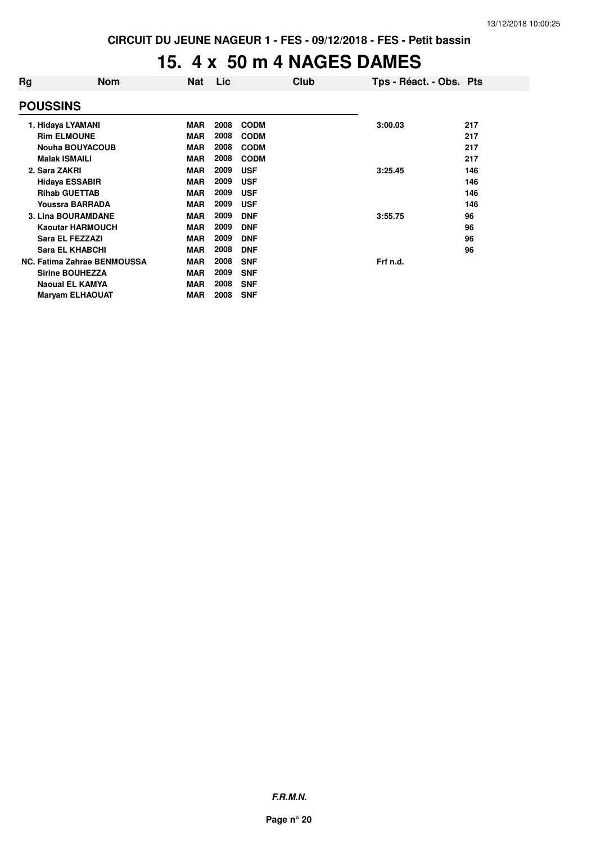#### **15. 4 x 50 m 4 NAGES DAMES**

| <b>Nom</b> | <b>Nat</b>                                                                                                                                                                                                                                                                                                                                                                                                                 | <b>Lic</b> |             |          |                         |
|------------|----------------------------------------------------------------------------------------------------------------------------------------------------------------------------------------------------------------------------------------------------------------------------------------------------------------------------------------------------------------------------------------------------------------------------|------------|-------------|----------|-------------------------|
|            |                                                                                                                                                                                                                                                                                                                                                                                                                            |            |             |          |                         |
|            | <b>MAR</b>                                                                                                                                                                                                                                                                                                                                                                                                                 | 2008       | <b>CODM</b> | 3:00.03  | 217                     |
|            | <b>MAR</b>                                                                                                                                                                                                                                                                                                                                                                                                                 | 2008       | <b>CODM</b> |          | 217                     |
|            | <b>MAR</b>                                                                                                                                                                                                                                                                                                                                                                                                                 | 2008       | <b>CODM</b> |          | 217                     |
|            | <b>MAR</b>                                                                                                                                                                                                                                                                                                                                                                                                                 | 2008       | <b>CODM</b> |          | 217                     |
|            | <b>MAR</b>                                                                                                                                                                                                                                                                                                                                                                                                                 | 2009       | <b>USF</b>  | 3:25.45  | 146                     |
|            | <b>MAR</b>                                                                                                                                                                                                                                                                                                                                                                                                                 | 2009       | <b>USF</b>  |          | 146                     |
|            | <b>MAR</b>                                                                                                                                                                                                                                                                                                                                                                                                                 | 2009       | <b>USF</b>  |          | 146                     |
|            | <b>MAR</b>                                                                                                                                                                                                                                                                                                                                                                                                                 | 2009       | <b>USF</b>  |          | 146                     |
|            | <b>MAR</b>                                                                                                                                                                                                                                                                                                                                                                                                                 | 2009       | <b>DNF</b>  | 3:55.75  | 96                      |
|            | <b>MAR</b>                                                                                                                                                                                                                                                                                                                                                                                                                 | 2009       | <b>DNF</b>  |          | 96                      |
|            | <b>MAR</b>                                                                                                                                                                                                                                                                                                                                                                                                                 | 2009       | <b>DNF</b>  |          | 96                      |
|            | <b>MAR</b>                                                                                                                                                                                                                                                                                                                                                                                                                 | 2008       | <b>DNF</b>  |          | 96                      |
|            | <b>MAR</b>                                                                                                                                                                                                                                                                                                                                                                                                                 | 2008       | <b>SNF</b>  | Frf n.d. |                         |
|            | <b>MAR</b>                                                                                                                                                                                                                                                                                                                                                                                                                 | 2009       | <b>SNF</b>  |          |                         |
|            | <b>MAR</b>                                                                                                                                                                                                                                                                                                                                                                                                                 | 2008       | <b>SNF</b>  |          |                         |
|            | <b>MAR</b>                                                                                                                                                                                                                                                                                                                                                                                                                 | 2008       | <b>SNF</b>  |          |                         |
|            | <b>POUSSINS</b><br>1. Hidaya LYAMANI<br><b>Rim ELMOUNE</b><br><b>Nouha BOUYACOUB</b><br><b>Malak ISMAILI</b><br>2. Sara ZAKRI<br><b>Hidaya ESSABIR</b><br><b>Rihab GUETTAB</b><br>Youssra BARRADA<br><b>3. Lina BOURAMDANE</b><br><b>Kaoutar HARMOUCH</b><br>Sara EL FEZZAZI<br><b>Sara EL KHABCHI</b><br><b>NC. Fatima Zahrae BENMOUSSA</b><br><b>Sirine BOUHEZZA</b><br><b>Naoual EL KAMYA</b><br><b>Maryam ELHAOUAT</b> |            |             | Club     | Tps - Réact. - Obs. Pts |

**F.R.M.N.**

**Page n° 20**